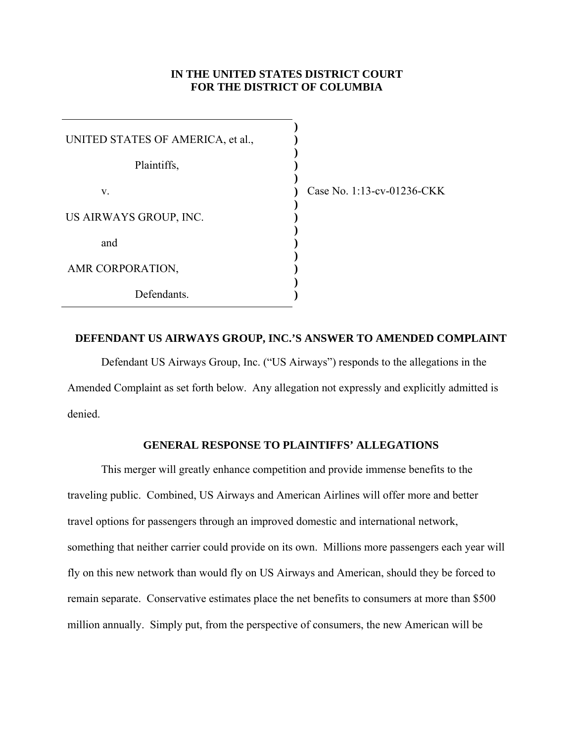## **IN THE UNITED STATES DISTRICT COURT FOR THE DISTRICT OF COLUMBIA**

**) ) ) ) ) ) ) ) ) ) ) ) ) )** 

| UNITED STATES OF AMERICA, et al., |  |  |  |  |  |  |
|-----------------------------------|--|--|--|--|--|--|
| Plaintiffs,                       |  |  |  |  |  |  |
| V.                                |  |  |  |  |  |  |
| US AIRWAYS GROUP, INC.            |  |  |  |  |  |  |
| and                               |  |  |  |  |  |  |
| AMR CORPORATION,                  |  |  |  |  |  |  |
| Defendants.                       |  |  |  |  |  |  |

Case No. 1:13-cv-01236-CKK

## **DEFENDANT US AIRWAYS GROUP, INC.'S ANSWER TO AMENDED COMPLAINT**

Defendant US Airways Group, Inc. ("US Airways") responds to the allegations in the Amended Complaint as set forth below. Any allegation not expressly and explicitly admitted is denied.

# **GENERAL RESPONSE TO PLAINTIFFS' ALLEGATIONS**

This merger will greatly enhance competition and provide immense benefits to the traveling public. Combined, US Airways and American Airlines will offer more and better travel options for passengers through an improved domestic and international network, something that neither carrier could provide on its own. Millions more passengers each year will fly on this new network than would fly on US Airways and American, should they be forced to remain separate. Conservative estimates place the net benefits to consumers at more than \$500 million annually. Simply put, from the perspective of consumers, the new American will be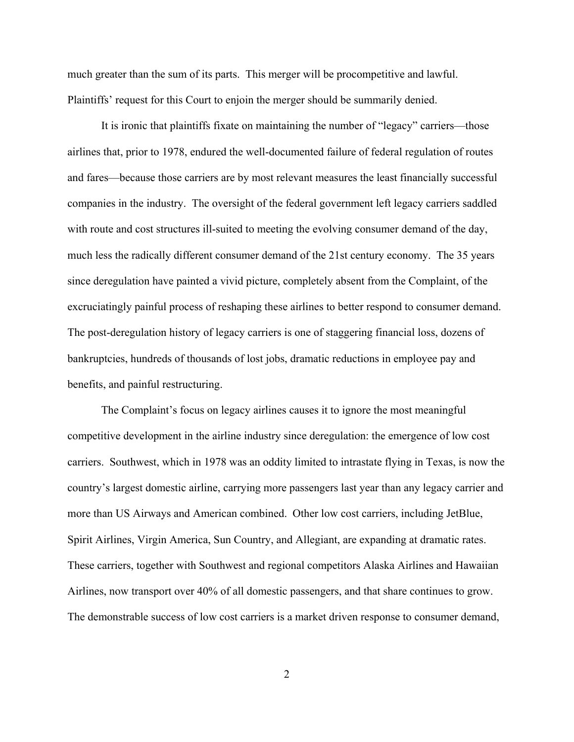much greater than the sum of its parts. This merger will be procompetitive and lawful. Plaintiffs' request for this Court to enjoin the merger should be summarily denied.

It is ironic that plaintiffs fixate on maintaining the number of "legacy" carriers—those airlines that, prior to 1978, endured the well-documented failure of federal regulation of routes and fares—because those carriers are by most relevant measures the least financially successful companies in the industry. The oversight of the federal government left legacy carriers saddled with route and cost structures ill-suited to meeting the evolving consumer demand of the day, much less the radically different consumer demand of the 21st century economy. The 35 years since deregulation have painted a vivid picture, completely absent from the Complaint, of the excruciatingly painful process of reshaping these airlines to better respond to consumer demand. The post-deregulation history of legacy carriers is one of staggering financial loss, dozens of bankruptcies, hundreds of thousands of lost jobs, dramatic reductions in employee pay and benefits, and painful restructuring.

The Complaint's focus on legacy airlines causes it to ignore the most meaningful competitive development in the airline industry since deregulation: the emergence of low cost carriers. Southwest, which in 1978 was an oddity limited to intrastate flying in Texas, is now the country's largest domestic airline, carrying more passengers last year than any legacy carrier and more than US Airways and American combined. Other low cost carriers, including JetBlue, Spirit Airlines, Virgin America, Sun Country, and Allegiant, are expanding at dramatic rates. These carriers, together with Southwest and regional competitors Alaska Airlines and Hawaiian Airlines, now transport over 40% of all domestic passengers, and that share continues to grow. The demonstrable success of low cost carriers is a market driven response to consumer demand,

2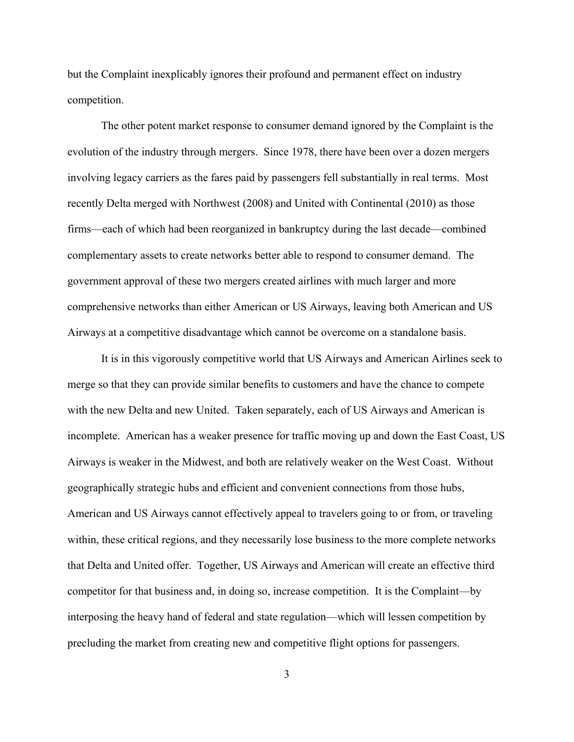but the Complaint inexplicably ignores their profound and permanent effect on industry competition.

The other potent market response to consumer demand ignored by the Complaint is the evolution of the industry through mergers. Since 1978, there have been over a dozen mergers involving legacy carriers as the fares paid by passengers fell substantially in real terms. Most recently Delta merged with Northwest (2008) and United with Continental (2010) as those firms—each of which had been reorganized in bankruptcy during the last decade—combined complementary assets to create networks better able to respond to consumer demand. The government approval of these two mergers created airlines with much larger and more comprehensive networks than either American or US Airways, leaving both American and US Airways at a competitive disadvantage which cannot be overcome on a standalone basis.

It is in this vigorously competitive world that US Airways and American Airlines seek to merge so that they can provide similar benefits to customers and have the chance to compete with the new Delta and new United. Taken separately, each of US Airways and American is incomplete. American has a weaker presence for traffic moving up and down the East Coast, US Airways is weaker in the Midwest, and both are relatively weaker on the West Coast. Without geographically strategic hubs and efficient and convenient connections from those hubs, American and US Airways cannot effectively appeal to travelers going to or from, or traveling within, these critical regions, and they necessarily lose business to the more complete networks that Delta and United offer. Together, US Airways and American will create an effective third competitor for that business and, in doing so, increase competition. It is the Complaint—by interposing the heavy hand of federal and state regulation—which will lessen competition by precluding the market from creating new and competitive flight options for passengers.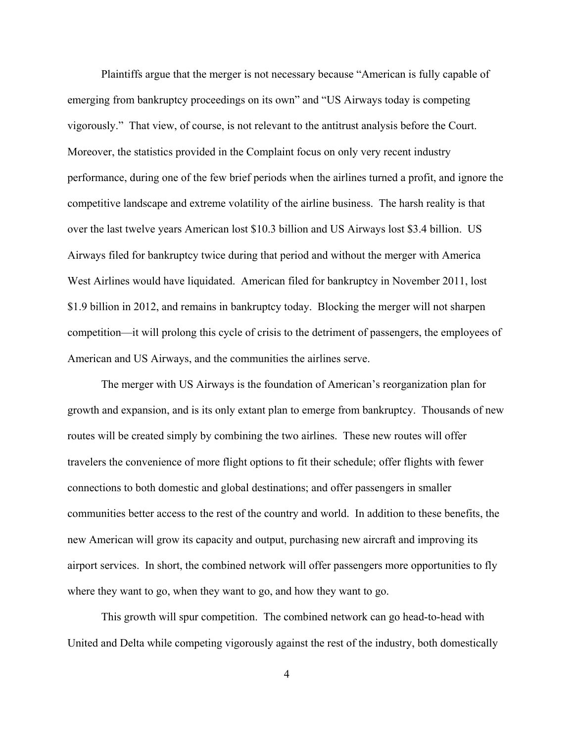Plaintiffs argue that the merger is not necessary because "American is fully capable of emerging from bankruptcy proceedings on its own" and "US Airways today is competing vigorously." That view, of course, is not relevant to the antitrust analysis before the Court. Moreover, the statistics provided in the Complaint focus on only very recent industry performance, during one of the few brief periods when the airlines turned a profit, and ignore the competitive landscape and extreme volatility of the airline business. The harsh reality is that over the last twelve years American lost \$10.3 billion and US Airways lost \$3.4 billion. US Airways filed for bankruptcy twice during that period and without the merger with America West Airlines would have liquidated. American filed for bankruptcy in November 2011, lost \$1.9 billion in 2012, and remains in bankruptcy today. Blocking the merger will not sharpen competition—it will prolong this cycle of crisis to the detriment of passengers, the employees of American and US Airways, and the communities the airlines serve.

The merger with US Airways is the foundation of American's reorganization plan for growth and expansion, and is its only extant plan to emerge from bankruptcy. Thousands of new routes will be created simply by combining the two airlines. These new routes will offer travelers the convenience of more flight options to fit their schedule; offer flights with fewer connections to both domestic and global destinations; and offer passengers in smaller communities better access to the rest of the country and world. In addition to these benefits, the new American will grow its capacity and output, purchasing new aircraft and improving its airport services. In short, the combined network will offer passengers more opportunities to fly where they want to go, when they want to go, and how they want to go.

This growth will spur competition. The combined network can go head-to-head with United and Delta while competing vigorously against the rest of the industry, both domestically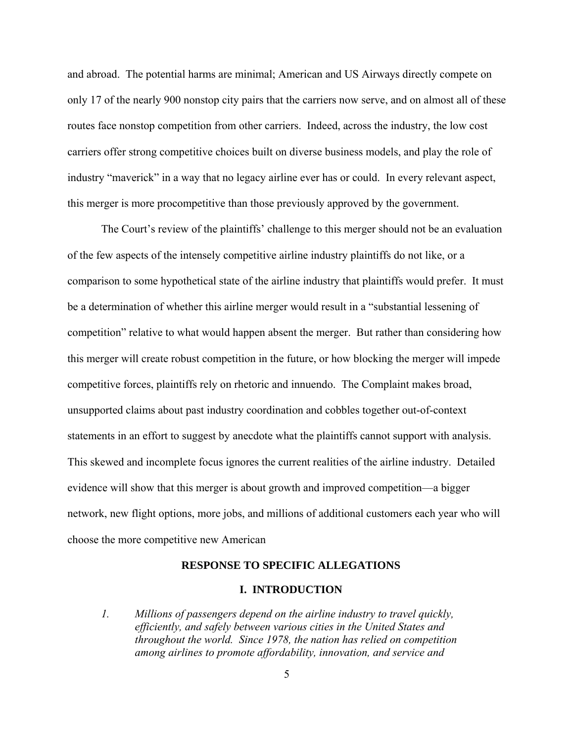and abroad. The potential harms are minimal; American and US Airways directly compete on only 17 of the nearly 900 nonstop city pairs that the carriers now serve, and on almost all of these routes face nonstop competition from other carriers. Indeed, across the industry, the low cost carriers offer strong competitive choices built on diverse business models, and play the role of industry "maverick" in a way that no legacy airline ever has or could. In every relevant aspect, this merger is more procompetitive than those previously approved by the government.

The Court's review of the plaintiffs' challenge to this merger should not be an evaluation of the few aspects of the intensely competitive airline industry plaintiffs do not like, or a comparison to some hypothetical state of the airline industry that plaintiffs would prefer. It must be a determination of whether this airline merger would result in a "substantial lessening of competition" relative to what would happen absent the merger. But rather than considering how this merger will create robust competition in the future, or how blocking the merger will impede competitive forces, plaintiffs rely on rhetoric and innuendo. The Complaint makes broad, unsupported claims about past industry coordination and cobbles together out-of-context statements in an effort to suggest by anecdote what the plaintiffs cannot support with analysis. This skewed and incomplete focus ignores the current realities of the airline industry. Detailed evidence will show that this merger is about growth and improved competition—a bigger network, new flight options, more jobs, and millions of additional customers each year who will choose the more competitive new American

### **RESPONSE TO SPECIFIC ALLEGATIONS**

#### **I. INTRODUCTION**

*1. Millions of passengers depend on the airline industry to travel quickly, efficiently, and safely between various cities in the United States and throughout the world. Since 1978, the nation has relied on competition among airlines to promote affordability, innovation, and service and*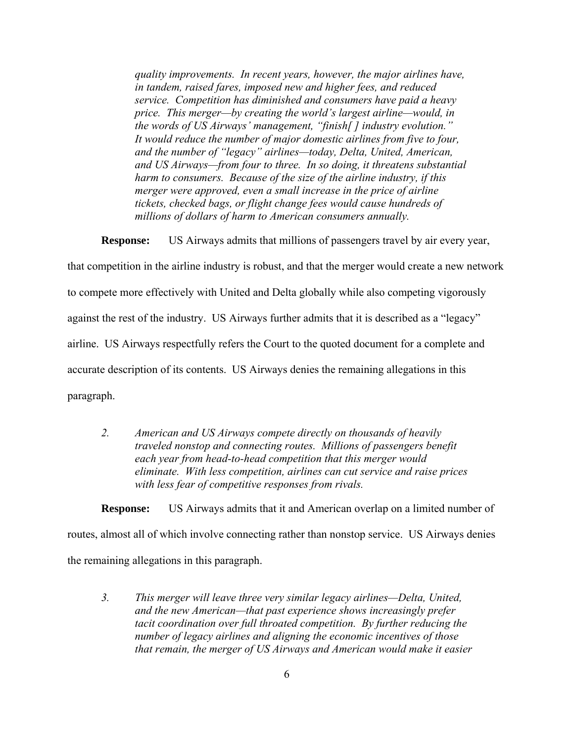*quality improvements. In recent years, however, the major airlines have, in tandem, raised fares, imposed new and higher fees, and reduced service. Competition has diminished and consumers have paid a heavy price. This merger—by creating the world's largest airline—would, in the words of US Airways' management, "finish[ ] industry evolution." It would reduce the number of major domestic airlines from five to four, and the number of "legacy" airlines—today, Delta, United, American, and US Airways—from four to three. In so doing, it threatens substantial harm to consumers. Because of the size of the airline industry, if this merger were approved, even a small increase in the price of airline tickets, checked bags, or flight change fees would cause hundreds of millions of dollars of harm to American consumers annually.* 

**Response:** US Airways admits that millions of passengers travel by air every year,

that competition in the airline industry is robust, and that the merger would create a new network to compete more effectively with United and Delta globally while also competing vigorously against the rest of the industry. US Airways further admits that it is described as a "legacy" airline. US Airways respectfully refers the Court to the quoted document for a complete and accurate description of its contents. US Airways denies the remaining allegations in this paragraph.

*2. American and US Airways compete directly on thousands of heavily traveled nonstop and connecting routes. Millions of passengers benefit each year from head-to-head competition that this merger would eliminate. With less competition, airlines can cut service and raise prices with less fear of competitive responses from rivals.* 

**Response:** US Airways admits that it and American overlap on a limited number of routes, almost all of which involve connecting rather than nonstop service. US Airways denies the remaining allegations in this paragraph.

*3. This merger will leave three very similar legacy airlines—Delta, United, and the new American—that past experience shows increasingly prefer tacit coordination over full throated competition. By further reducing the number of legacy airlines and aligning the economic incentives of those that remain, the merger of US Airways and American would make it easier*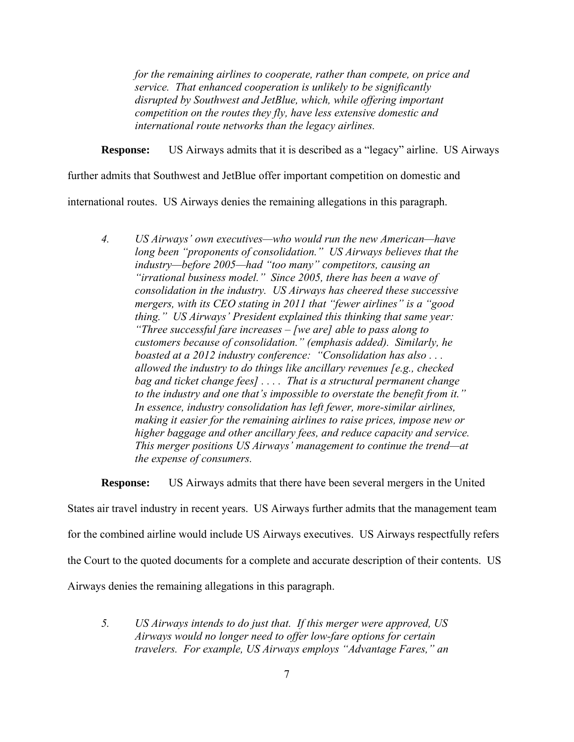*for the remaining airlines to cooperate, rather than compete, on price and service. That enhanced cooperation is unlikely to be significantly disrupted by Southwest and JetBlue, which, while offering important competition on the routes they fly, have less extensive domestic and international route networks than the legacy airlines.* 

**Response:** US Airways admits that it is described as a "legacy" airline. US Airways

further admits that Southwest and JetBlue offer important competition on domestic and

international routes. US Airways denies the remaining allegations in this paragraph.

*4. US Airways' own executives—who would run the new American—have long been "proponents of consolidation." US Airways believes that the industry—before 2005—had "too many" competitors, causing an "irrational business model." Since 2005, there has been a wave of consolidation in the industry. US Airways has cheered these successive mergers, with its CEO stating in 2011 that "fewer airlines" is a "good thing." US Airways' President explained this thinking that same year: "Three successful fare increases – [we are] able to pass along to customers because of consolidation." (emphasis added). Similarly, he boasted at a 2012 industry conference: "Consolidation has also . . . allowed the industry to do things like ancillary revenues [e.g., checked bag and ticket change fees] . . . . That is a structural permanent change to the industry and one that's impossible to overstate the benefit from it." In essence, industry consolidation has left fewer, more-similar airlines, making it easier for the remaining airlines to raise prices, impose new or higher baggage and other ancillary fees, and reduce capacity and service. This merger positions US Airways' management to continue the trend—at the expense of consumers.* 

**Response:** US Airways admits that there have been several mergers in the United

States air travel industry in recent years. US Airways further admits that the management team

for the combined airline would include US Airways executives. US Airways respectfully refers

the Court to the quoted documents for a complete and accurate description of their contents. US

Airways denies the remaining allegations in this paragraph.

*5. US Airways intends to do just that. If this merger were approved, US Airways would no longer need to offer low-fare options for certain travelers. For example, US Airways employs "Advantage Fares," an*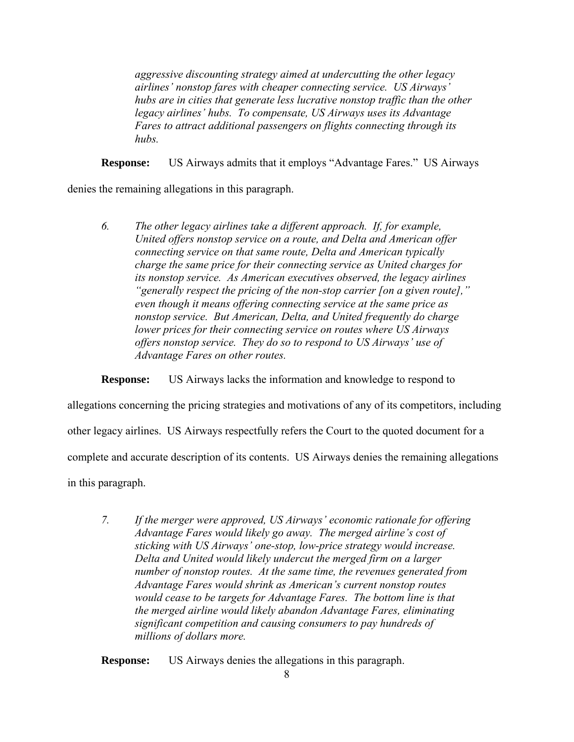*aggressive discounting strategy aimed at undercutting the other legacy airlines' nonstop fares with cheaper connecting service. US Airways' hubs are in cities that generate less lucrative nonstop traffic than the other legacy airlines' hubs. To compensate, US Airways uses its Advantage Fares to attract additional passengers on flights connecting through its hubs.* 

**Response:** US Airways admits that it employs "Advantage Fares." US Airways

denies the remaining allegations in this paragraph.

*6. The other legacy airlines take a different approach. If, for example, United offers nonstop service on a route, and Delta and American offer connecting service on that same route, Delta and American typically charge the same price for their connecting service as United charges for its nonstop service. As American executives observed, the legacy airlines "generally respect the pricing of the non-stop carrier [on a given route]," even though it means offering connecting service at the same price as nonstop service. But American, Delta, and United frequently do charge lower prices for their connecting service on routes where US Airways offers nonstop service. They do so to respond to US Airways' use of Advantage Fares on other routes.* 

**Response:** US Airways lacks the information and knowledge to respond to

allegations concerning the pricing strategies and motivations of any of its competitors, including

other legacy airlines. US Airways respectfully refers the Court to the quoted document for a

complete and accurate description of its contents. US Airways denies the remaining allegations

in this paragraph.

*7. If the merger were approved, US Airways' economic rationale for offering Advantage Fares would likely go away. The merged airline's cost of sticking with US Airways' one-stop, low-price strategy would increase. Delta and United would likely undercut the merged firm on a larger number of nonstop routes. At the same time, the revenues generated from Advantage Fares would shrink as American's current nonstop routes would cease to be targets for Advantage Fares. The bottom line is that the merged airline would likely abandon Advantage Fares, eliminating significant competition and causing consumers to pay hundreds of millions of dollars more.* 

**Response:** US Airways denies the allegations in this paragraph.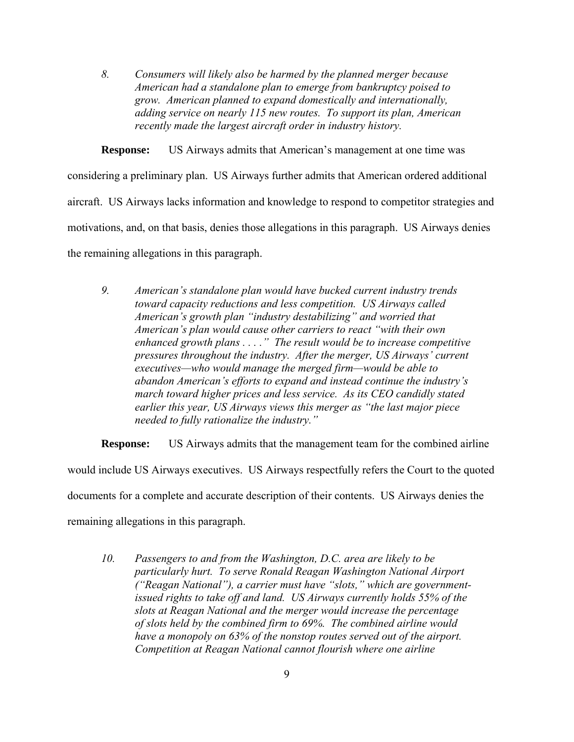*8. Consumers will likely also be harmed by the planned merger because American had a standalone plan to emerge from bankruptcy poised to grow. American planned to expand domestically and internationally, adding service on nearly 115 new routes. To support its plan, American recently made the largest aircraft order in industry history.* 

**Response:** US Airways admits that American's management at one time was

considering a preliminary plan. US Airways further admits that American ordered additional aircraft. US Airways lacks information and knowledge to respond to competitor strategies and motivations, and, on that basis, denies those allegations in this paragraph. US Airways denies the remaining allegations in this paragraph.

*9. American's standalone plan would have bucked current industry trends toward capacity reductions and less competition. US Airways called American's growth plan "industry destabilizing" and worried that American's plan would cause other carriers to react "with their own enhanced growth plans . . . ." The result would be to increase competitive pressures throughout the industry. After the merger, US Airways' current executives—who would manage the merged firm—would be able to abandon American's efforts to expand and instead continue the industry's march toward higher prices and less service. As its CEO candidly stated earlier this year, US Airways views this merger as "the last major piece needed to fully rationalize the industry."* 

**Response:** US Airways admits that the management team for the combined airline would include US Airways executives. US Airways respectfully refers the Court to the quoted documents for a complete and accurate description of their contents. US Airways denies the remaining allegations in this paragraph.

*10. Passengers to and from the Washington, D.C. area are likely to be particularly hurt. To serve Ronald Reagan Washington National Airport ("Reagan National"), a carrier must have "slots," which are governmentissued rights to take off and land. US Airways currently holds 55% of the slots at Reagan National and the merger would increase the percentage of slots held by the combined firm to 69%. The combined airline would have a monopoly on 63% of the nonstop routes served out of the airport. Competition at Reagan National cannot flourish where one airline*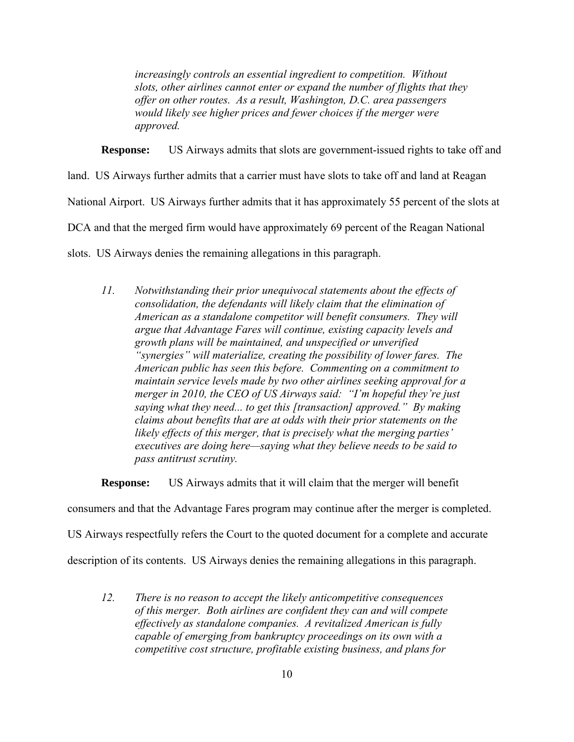*increasingly controls an essential ingredient to competition. Without slots, other airlines cannot enter or expand the number of flights that they offer on other routes. As a result, Washington, D.C. area passengers would likely see higher prices and fewer choices if the merger were approved.* 

**Response:** US Airways admits that slots are government-issued rights to take off and

land.US Airways further admits that a carrier must have slots to take off and land at Reagan

National Airport. US Airways further admits that it has approximately 55 percent of the slots at

DCA and that the merged firm would have approximately 69 percent of the Reagan National

slots. US Airways denies the remaining allegations in this paragraph.

*11. Notwithstanding their prior unequivocal statements about the effects of consolidation, the defendants will likely claim that the elimination of American as a standalone competitor will benefit consumers. They will argue that Advantage Fares will continue, existing capacity levels and growth plans will be maintained, and unspecified or unverified "synergies" will materialize, creating the possibility of lower fares. The American public has seen this before. Commenting on a commitment to maintain service levels made by two other airlines seeking approval for a merger in 2010, the CEO of US Airways said: "I'm hopeful they're just saying what they need... to get this [transaction] approved." By making claims about benefits that are at odds with their prior statements on the likely effects of this merger, that is precisely what the merging parties' executives are doing here—saying what they believe needs to be said to pass antitrust scrutiny.* 

**Response:** US Airways admits that it will claim that the merger will benefit

consumers and that the Advantage Fares program may continue after the merger is completed.

US Airways respectfully refers the Court to the quoted document for a complete and accurate

description of its contents. US Airways denies the remaining allegations in this paragraph.

*12. There is no reason to accept the likely anticompetitive consequences of this merger. Both airlines are confident they can and will compete effectively as standalone companies. A revitalized American is fully capable of emerging from bankruptcy proceedings on its own with a competitive cost structure, profitable existing business, and plans for*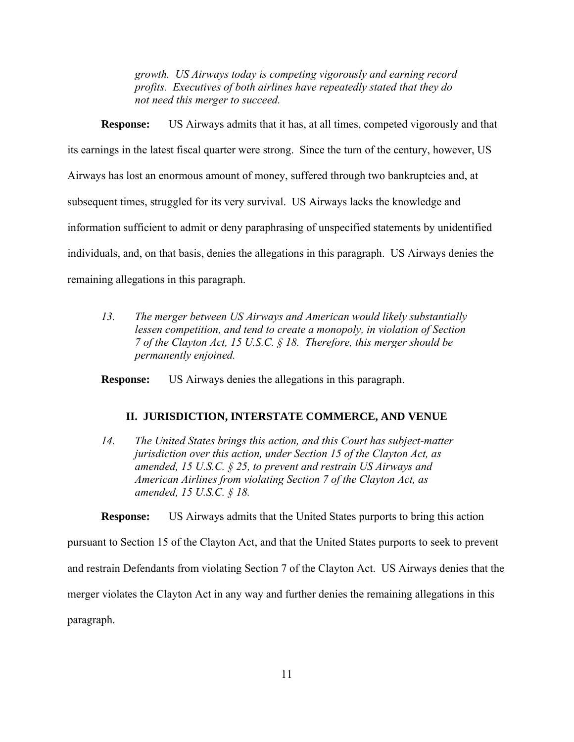*growth. US Airways today is competing vigorously and earning record profits. Executives of both airlines have repeatedly stated that they do not need this merger to succeed.*

**Response:** US Airways admits that it has, at all times, competed vigorously and that its earnings in the latest fiscal quarter were strong. Since the turn of the century, however, US Airways has lost an enormous amount of money, suffered through two bankruptcies and, at subsequent times, struggled for its very survival. US Airways lacks the knowledge and information sufficient to admit or deny paraphrasing of unspecified statements by unidentified individuals, and, on that basis, denies the allegations in this paragraph. US Airways denies the remaining allegations in this paragraph.

*13. The merger between US Airways and American would likely substantially lessen competition, and tend to create a monopoly, in violation of Section 7 of the Clayton Act, 15 U.S.C. § 18. Therefore, this merger should be permanently enjoined.* 

**Response:** US Airways denies the allegations in this paragraph.

#### **II. JURISDICTION, INTERSTATE COMMERCE, AND VENUE**

*14. The United States brings this action, and this Court has subject-matter jurisdiction over this action, under Section 15 of the Clayton Act, as amended, 15 U.S.C. § 25, to prevent and restrain US Airways and American Airlines from violating Section 7 of the Clayton Act, as amended, 15 U.S.C. § 18.* 

**Response:** US Airways admits that the United States purports to bring this action

pursuant to Section 15 of the Clayton Act, and that the United States purports to seek to prevent

and restrain Defendants from violating Section 7 of the Clayton Act. US Airways denies that the

merger violates the Clayton Act in any way and further denies the remaining allegations in this

paragraph.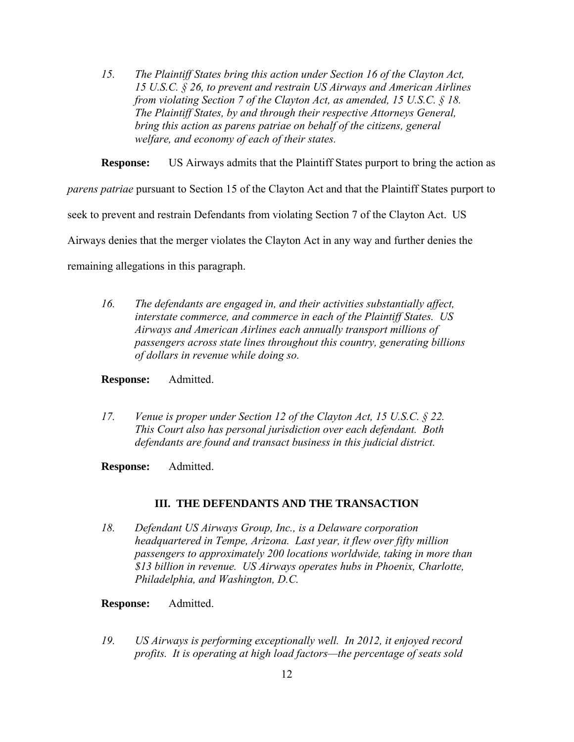*15. The Plaintiff States bring this action under Section 16 of the Clayton Act, 15 U.S.C. § 26, to prevent and restrain US Airways and American Airlines from violating Section 7 of the Clayton Act, as amended, 15 U.S.C. § 18. The Plaintiff States, by and through their respective Attorneys General, bring this action as parens patriae on behalf of the citizens, general welfare, and economy of each of their states.* 

**Response:** US Airways admits that the Plaintiff States purport to bring the action as

*parens patriae* pursuant to Section 15 of the Clayton Act and that the Plaintiff States purport to

seek to prevent and restrain Defendants from violating Section 7 of the Clayton Act. US

Airways denies that the merger violates the Clayton Act in any way and further denies the

remaining allegations in this paragraph.

*16. The defendants are engaged in, and their activities substantially affect, interstate commerce, and commerce in each of the Plaintiff States. US Airways and American Airlines each annually transport millions of passengers across state lines throughout this country, generating billions of dollars in revenue while doing so.* 

#### **Response:** Admitted.

- *17. Venue is proper under Section 12 of the Clayton Act, 15 U.S.C. § 22. This Court also has personal jurisdiction over each defendant. Both defendants are found and transact business in this judicial district.*
- **Response:** Admitted.

### **III. THE DEFENDANTS AND THE TRANSACTION**

- *18. Defendant US Airways Group, Inc., is a Delaware corporation headquartered in Tempe, Arizona. Last year, it flew over fifty million passengers to approximately 200 locations worldwide, taking in more than \$13 billion in revenue. US Airways operates hubs in Phoenix, Charlotte, Philadelphia, and Washington, D.C.*
- **Response:** Admitted.
- *19. US Airways is performing exceptionally well. In 2012, it enjoyed record profits. It is operating at high load factors—the percentage of seats sold*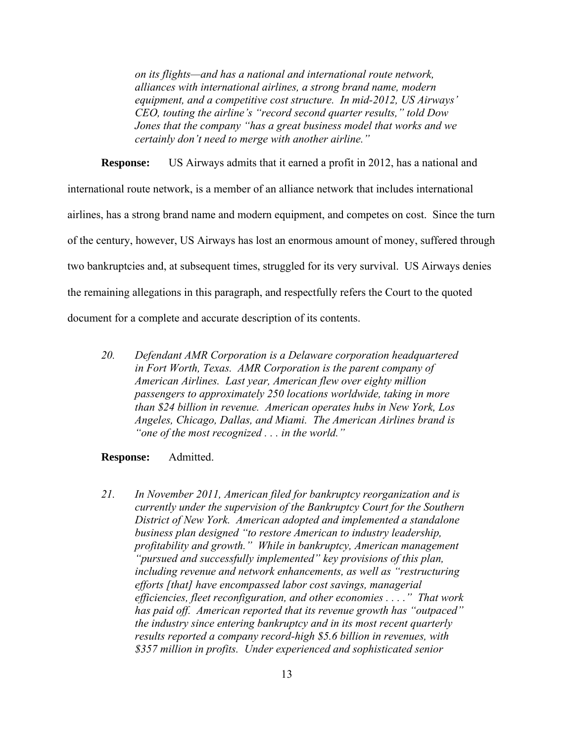*on its flights—and has a national and international route network, alliances with international airlines, a strong brand name, modern equipment, and a competitive cost structure. In mid-2012, US Airways' CEO, touting the airline's "record second quarter results," told Dow Jones that the company "has a great business model that works and we certainly don't need to merge with another airline."* 

**Response:** US Airways admits that it earned a profit in 2012, has a national and international route network, is a member of an alliance network that includes international airlines, has a strong brand name and modern equipment, and competes on cost. Since the turn of the century, however, US Airways has lost an enormous amount of money, suffered through two bankruptcies and, at subsequent times, struggled for its very survival. US Airways denies the remaining allegations in this paragraph, and respectfully refers the Court to the quoted document for a complete and accurate description of its contents.

*20. Defendant AMR Corporation is a Delaware corporation headquartered in Fort Worth, Texas. AMR Corporation is the parent company of American Airlines. Last year, American flew over eighty million passengers to approximately 250 locations worldwide, taking in more than \$24 billion in revenue. American operates hubs in New York, Los Angeles, Chicago, Dallas, and Miami. The American Airlines brand is "one of the most recognized . . . in the world."*

#### **Response:** Admitted.

*21. In November 2011, American filed for bankruptcy reorganization and is currently under the supervision of the Bankruptcy Court for the Southern District of New York. American adopted and implemented a standalone business plan designed "to restore American to industry leadership, profitability and growth." While in bankruptcy, American management "pursued and successfully implemented" key provisions of this plan, including revenue and network enhancements, as well as "restructuring efforts [that] have encompassed labor cost savings, managerial efficiencies, fleet reconfiguration, and other economies . . . ." That work has paid off. American reported that its revenue growth has "outpaced" the industry since entering bankruptcy and in its most recent quarterly results reported a company record-high \$5.6 billion in revenues, with \$357 million in profits. Under experienced and sophisticated senior*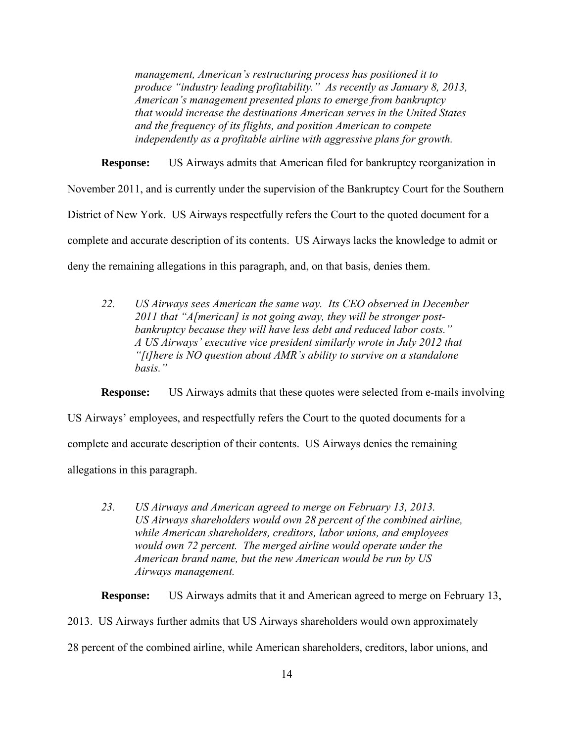*management, American's restructuring process has positioned it to produce "industry leading profitability." As recently as January 8, 2013, American's management presented plans to emerge from bankruptcy that would increase the destinations American serves in the United States and the frequency of its flights, and position American to compete independently as a profitable airline with aggressive plans for growth.* 

**Response:** US Airways admits that American filed for bankruptcy reorganization in November 2011, and is currently under the supervision of the Bankruptcy Court for the Southern District of New York. US Airways respectfully refers the Court to the quoted document for a complete and accurate description of its contents. US Airways lacks the knowledge to admit or deny the remaining allegations in this paragraph, and, on that basis, denies them.

*22. US Airways sees American the same way. Its CEO observed in December 2011 that "A[merican] is not going away, they will be stronger postbankruptcy because they will have less debt and reduced labor costs." A US Airways' executive vice president similarly wrote in July 2012 that "[t]here is NO question about AMR's ability to survive on a standalone basis."*

**Response:** US Airways admits that these quotes were selected from e-mails involving

US Airways' employees, and respectfully refers the Court to the quoted documents for a

complete and accurate description of their contents. US Airways denies the remaining

allegations in this paragraph.

*23. US Airways and American agreed to merge on February 13, 2013. US Airways shareholders would own 28 percent of the combined airline, while American shareholders, creditors, labor unions, and employees would own 72 percent. The merged airline would operate under the American brand name, but the new American would be run by US Airways management.* 

**Response:** US Airways admits that it and American agreed to merge on February 13,

2013. US Airways further admits that US Airways shareholders would own approximately 28 percent of the combined airline, while American shareholders, creditors, labor unions, and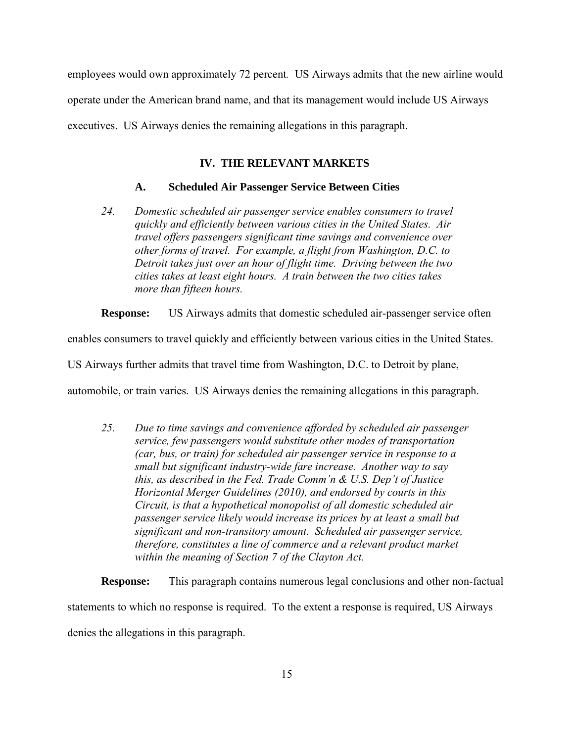employees would own approximately 72 percent*.* US Airways admits that the new airline would operate under the American brand name, and that its management would include US Airways executives. US Airways denies the remaining allegations in this paragraph.

# **IV. THE RELEVANT MARKETS**

### **A. Scheduled Air Passenger Service Between Cities**

*24. Domestic scheduled air passenger service enables consumers to travel quickly and efficiently between various cities in the United States. Air travel offers passengers significant time savings and convenience over other forms of travel. For example, a flight from Washington, D.C. to Detroit takes just over an hour of flight time. Driving between the two cities takes at least eight hours. A train between the two cities takes more than fifteen hours.* 

**Response:** US Airways admits that domestic scheduled air-passenger service often

enables consumers to travel quickly and efficiently between various cities in the United States.

US Airways further admits that travel time from Washington, D.C. to Detroit by plane,

automobile, or train varies. US Airways denies the remaining allegations in this paragraph.

*25. Due to time savings and convenience afforded by scheduled air passenger service, few passengers would substitute other modes of transportation (car, bus, or train) for scheduled air passenger service in response to a small but significant industry-wide fare increase. Another way to say this, as described in the Fed. Trade Comm'n & U.S. Dep't of Justice Horizontal Merger Guidelines (2010), and endorsed by courts in this Circuit, is that a hypothetical monopolist of all domestic scheduled air passenger service likely would increase its prices by at least a small but significant and non-transitory amount. Scheduled air passenger service, therefore, constitutes a line of commerce and a relevant product market within the meaning of Section 7 of the Clayton Act.* 

**Response:** This paragraph contains numerous legal conclusions and other non-factual statements to which no response is required. To the extent a response is required, US Airways denies the allegations in this paragraph.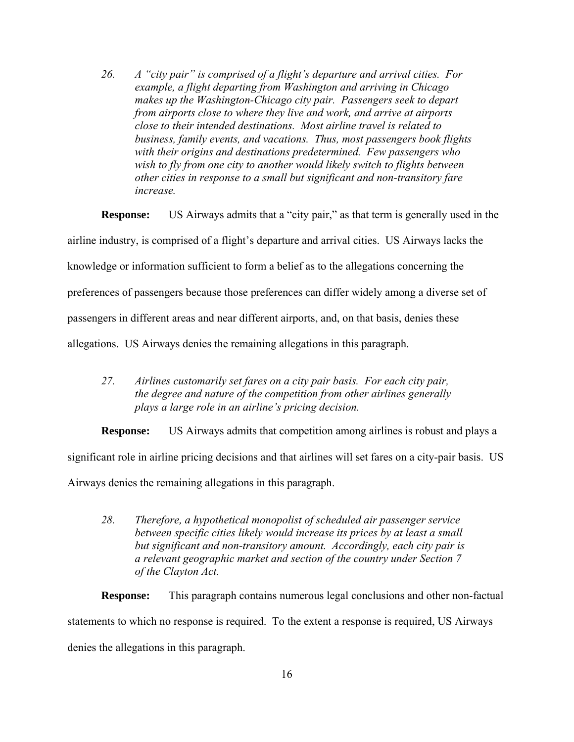*26. A "city pair" is comprised of a flight's departure and arrival cities. For example, a flight departing from Washington and arriving in Chicago makes up the Washington-Chicago city pair. Passengers seek to depart from airports close to where they live and work, and arrive at airports close to their intended destinations. Most airline travel is related to business, family events, and vacations. Thus, most passengers book flights with their origins and destinations predetermined. Few passengers who wish to fly from one city to another would likely switch to flights between other cities in response to a small but significant and non-transitory fare increase.* 

**Response:** US Airways admits that a "city pair," as that term is generally used in the

airline industry, is comprised of a flight's departure and arrival cities. US Airways lacks the

knowledge or information sufficient to form a belief as to the allegations concerning the

preferences of passengers because those preferences can differ widely among a diverse set of

passengers in different areas and near different airports, and, on that basis, denies these

allegations. US Airways denies the remaining allegations in this paragraph.

*27. Airlines customarily set fares on a city pair basis. For each city pair, the degree and nature of the competition from other airlines generally plays a large role in an airline's pricing decision.* 

**Response:** US Airways admits that competition among airlines is robust and plays a

significant role in airline pricing decisions and that airlines will set fares on a city-pair basis. US

Airways denies the remaining allegations in this paragraph.

*28. Therefore, a hypothetical monopolist of scheduled air passenger service between specific cities likely would increase its prices by at least a small but significant and non-transitory amount. Accordingly, each city pair is a relevant geographic market and section of the country under Section 7 of the Clayton Act.* 

**Response:** This paragraph contains numerous legal conclusions and other non-factual statements to which no response is required. To the extent a response is required, US Airways denies the allegations in this paragraph.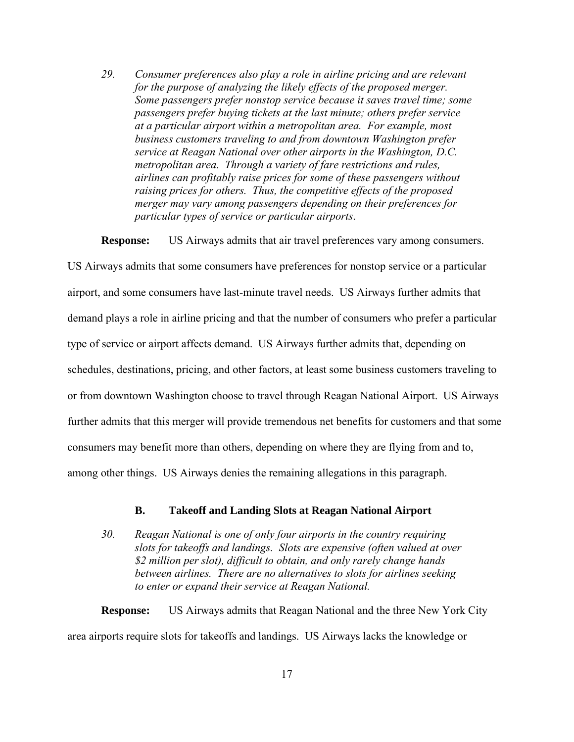*29. Consumer preferences also play a role in airline pricing and are relevant for the purpose of analyzing the likely effects of the proposed merger. Some passengers prefer nonstop service because it saves travel time; some passengers prefer buying tickets at the last minute; others prefer service at a particular airport within a metropolitan area. For example, most business customers traveling to and from downtown Washington prefer service at Reagan National over other airports in the Washington, D.C. metropolitan area. Through a variety of fare restrictions and rules, airlines can profitably raise prices for some of these passengers without raising prices for others. Thus, the competitive effects of the proposed merger may vary among passengers depending on their preferences for particular types of service or particular airports*.

**Response:** US Airways admits that air travel preferences vary among consumers.

US Airways admits that some consumers have preferences for nonstop service or a particular airport, and some consumers have last-minute travel needs. US Airways further admits that demand plays a role in airline pricing and that the number of consumers who prefer a particular type of service or airport affects demand. US Airways further admits that, depending on schedules, destinations, pricing, and other factors, at least some business customers traveling to or from downtown Washington choose to travel through Reagan National Airport. US Airways further admits that this merger will provide tremendous net benefits for customers and that some consumers may benefit more than others, depending on where they are flying from and to, among other things. US Airways denies the remaining allegations in this paragraph.

## **B. Takeoff and Landing Slots at Reagan National Airport**

*30. Reagan National is one of only four airports in the country requiring slots for takeoffs and landings. Slots are expensive (often valued at over \$2 million per slot), difficult to obtain, and only rarely change hands between airlines. There are no alternatives to slots for airlines seeking to enter or expand their service at Reagan National.*

**Response:** US Airways admits that Reagan National and the three New York City area airports require slots for takeoffs and landings. US Airways lacks the knowledge or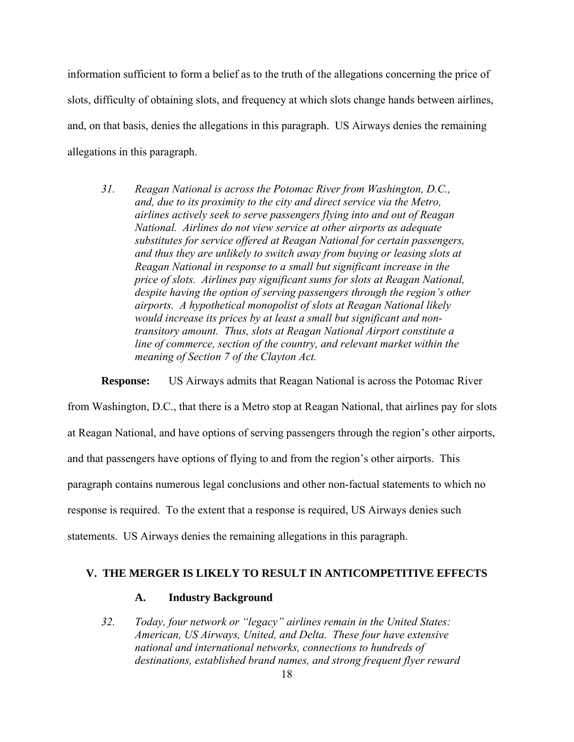information sufficient to form a belief as to the truth of the allegations concerning the price of slots, difficulty of obtaining slots, and frequency at which slots change hands between airlines, and, on that basis, denies the allegations in this paragraph. US Airways denies the remaining allegations in this paragraph.

*31. Reagan National is across the Potomac River from Washington, D.C., and, due to its proximity to the city and direct service via the Metro, airlines actively seek to serve passengers flying into and out of Reagan National. Airlines do not view service at other airports as adequate substitutes for service offered at Reagan National for certain passengers, and thus they are unlikely to switch away from buying or leasing slots at Reagan National in response to a small but significant increase in the price of slots. Airlines pay significant sums for slots at Reagan National, despite having the option of serving passengers through the region's other airports. A hypothetical monopolist of slots at Reagan National likely would increase its prices by at least a small but significant and nontransitory amount. Thus, slots at Reagan National Airport constitute a line of commerce, section of the country, and relevant market within the meaning of Section 7 of the Clayton Act.*

**Response:** US Airways admits that Reagan National is across the Potomac River

from Washington, D.C., that there is a Metro stop at Reagan National, that airlines pay for slots at Reagan National, and have options of serving passengers through the region's other airports, and that passengers have options of flying to and from the region's other airports. This paragraph contains numerous legal conclusions and other non-factual statements to which no response is required. To the extent that a response is required, US Airways denies such statements. US Airways denies the remaining allegations in this paragraph.

### **V. THE MERGER IS LIKELY TO RESULT IN ANTICOMPETITIVE EFFECTS**

## **A. Industry Background**

*32. Today, four network or "legacy" airlines remain in the United States: American, US Airways, United, and Delta. These four have extensive national and international networks, connections to hundreds of destinations, established brand names, and strong frequent flyer reward*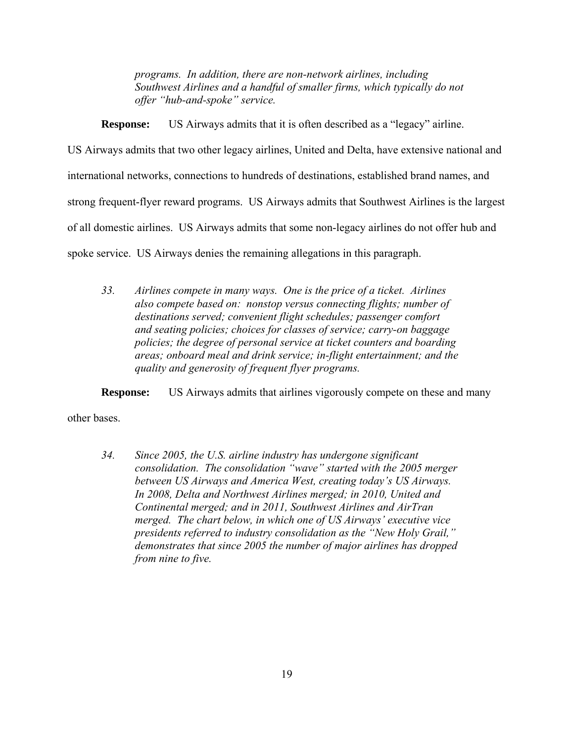*programs. In addition, there are non-network airlines, including Southwest Airlines and a handful of smaller firms, which typically do not offer "hub-and-spoke" service.*

**Response:** US Airways admits that it is often described as a "legacy" airline.

US Airways admits that two other legacy airlines, United and Delta, have extensive national and

international networks, connections to hundreds of destinations, established brand names, and

strong frequent-flyer reward programs. US Airways admits that Southwest Airlines is the largest

of all domestic airlines. US Airways admits that some non-legacy airlines do not offer hub and

spoke service. US Airways denies the remaining allegations in this paragraph.

*33. Airlines compete in many ways. One is the price of a ticket. Airlines also compete based on: nonstop versus connecting flights; number of destinations served; convenient flight schedules; passenger comfort and seating policies; choices for classes of service; carry-on baggage policies; the degree of personal service at ticket counters and boarding areas; onboard meal and drink service; in-flight entertainment; and the quality and generosity of frequent flyer programs.* 

**Response:** US Airways admits that airlines vigorously compete on these and many

other bases.

*34. Since 2005, the U.S. airline industry has undergone significant consolidation. The consolidation "wave" started with the 2005 merger between US Airways and America West, creating today's US Airways. In 2008, Delta and Northwest Airlines merged; in 2010, United and Continental merged; and in 2011, Southwest Airlines and AirTran merged. The chart below, in which one of US Airways' executive vice presidents referred to industry consolidation as the "New Holy Grail," demonstrates that since 2005 the number of major airlines has dropped from nine to five.*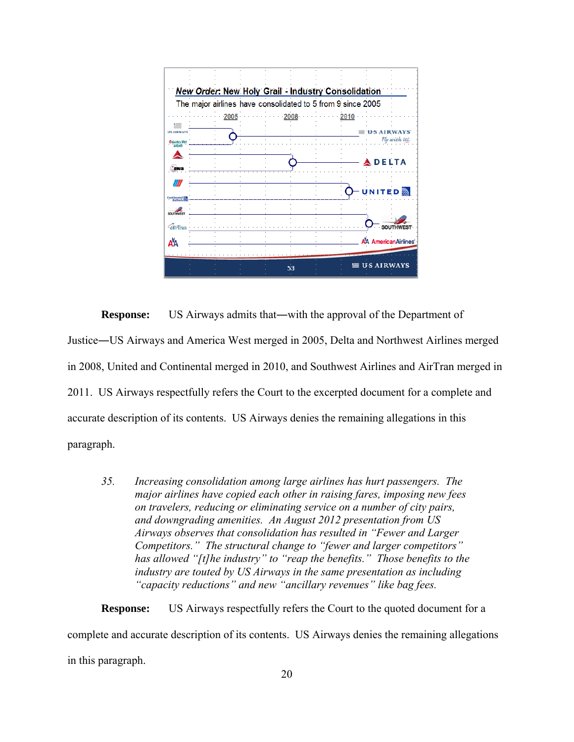

**Response:** US Airways admits that—with the approval of the Department of Justice―US Airways and America West merged in 2005, Delta and Northwest Airlines merged in 2008, United and Continental merged in 2010, and Southwest Airlines and AirTran merged in 2011. US Airways respectfully refers the Court to the excerpted document for a complete and accurate description of its contents. US Airways denies the remaining allegations in this paragraph.

*35. Increasing consolidation among large airlines has hurt passengers. The major airlines have copied each other in raising fares, imposing new fees on travelers, reducing or eliminating service on a number of city pairs, and downgrading amenities. An August 2012 presentation from US Airways observes that consolidation has resulted in "Fewer and Larger Competitors." The structural change to "fewer and larger competitors" has allowed "[t]he industry" to "reap the benefits." Those benefits to the industry are touted by US Airways in the same presentation as including "capacity reductions" and new "ancillary revenues" like bag fees.* 

**Response:** US Airways respectfully refers the Court to the quoted document for a complete and accurate description of its contents. US Airways denies the remaining allegations in this paragraph.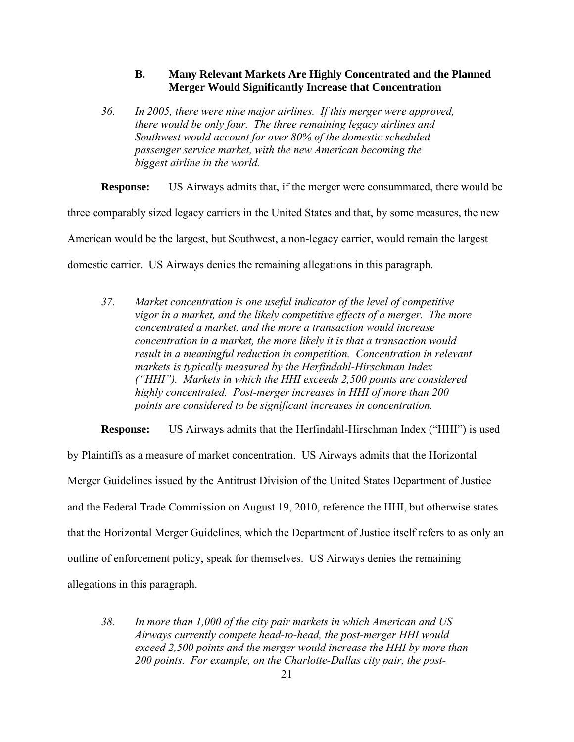## **B. Many Relevant Markets Are Highly Concentrated and the Planned Merger Would Significantly Increase that Concentration**

*36. In 2005, there were nine major airlines. If this merger were approved, there would be only four. The three remaining legacy airlines and Southwest would account for over 80% of the domestic scheduled passenger service market, with the new American becoming the biggest airline in the world.* 

**Response:** US Airways admits that, if the merger were consummated, there would be three comparably sized legacy carriers in the United States and that, by some measures, the new American would be the largest, but Southwest, a non-legacy carrier, would remain the largest domestic carrier. US Airways denies the remaining allegations in this paragraph.

*37. Market concentration is one useful indicator of the level of competitive vigor in a market, and the likely competitive effects of a merger. The more concentrated a market, and the more a transaction would increase concentration in a market, the more likely it is that a transaction would result in a meaningful reduction in competition. Concentration in relevant markets is typically measured by the Herfindahl-Hirschman Index ("HHI"). Markets in which the HHI exceeds 2,500 points are considered highly concentrated. Post-merger increases in HHI of more than 200 points are considered to be significant increases in concentration.*

**Response:** US Airways admits that the Herfindahl-Hirschman Index ("HHI") is used by Plaintiffs as a measure of market concentration. US Airways admits that the Horizontal Merger Guidelines issued by the Antitrust Division of the United States Department of Justice and the Federal Trade Commission on August 19, 2010, reference the HHI, but otherwise states that the Horizontal Merger Guidelines, which the Department of Justice itself refers to as only an outline of enforcement policy, speak for themselves. US Airways denies the remaining allegations in this paragraph.

*38. In more than 1,000 of the city pair markets in which American and US Airways currently compete head-to-head, the post-merger HHI would exceed 2,500 points and the merger would increase the HHI by more than 200 points. For example, on the Charlotte-Dallas city pair, the post-*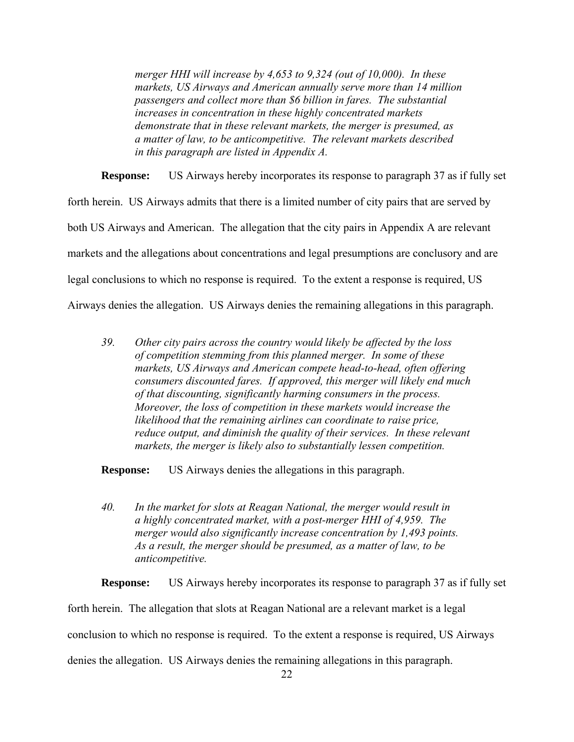*merger HHI will increase by 4,653 to 9,324 (out of 10,000). In these markets, US Airways and American annually serve more than 14 million passengers and collect more than \$6 billion in fares. The substantial increases in concentration in these highly concentrated markets demonstrate that in these relevant markets, the merger is presumed, as a matter of law, to be anticompetitive. The relevant markets described in this paragraph are listed in Appendix A.* 

**Response:** US Airways hereby incorporates its response to paragraph 37 as if fully set forth herein. US Airways admits that there is a limited number of city pairs that are served by both US Airways and American. The allegation that the city pairs in Appendix A are relevant markets and the allegations about concentrations and legal presumptions are conclusory and are legal conclusions to which no response is required. To the extent a response is required, US Airways denies the allegation. US Airways denies the remaining allegations in this paragraph.

*39. Other city pairs across the country would likely be affected by the loss of competition stemming from this planned merger. In some of these markets, US Airways and American compete head-to-head, often offering consumers discounted fares. If approved, this merger will likely end much of that discounting, significantly harming consumers in the process. Moreover, the loss of competition in these markets would increase the likelihood that the remaining airlines can coordinate to raise price, reduce output, and diminish the quality of their services. In these relevant markets, the merger is likely also to substantially lessen competition.* 

**Response:** US Airways denies the allegations in this paragraph.

*40. In the market for slots at Reagan National, the merger would result in a highly concentrated market, with a post-merger HHI of 4,959. The merger would also significantly increase concentration by 1,493 points. As a result, the merger should be presumed, as a matter of law, to be anticompetitive.* 

**Response:** US Airways hereby incorporates its response to paragraph 37 as if fully set forth herein. The allegation that slots at Reagan National are a relevant market is a legal conclusion to which no response is required. To the extent a response is required, US Airways denies the allegation. US Airways denies the remaining allegations in this paragraph.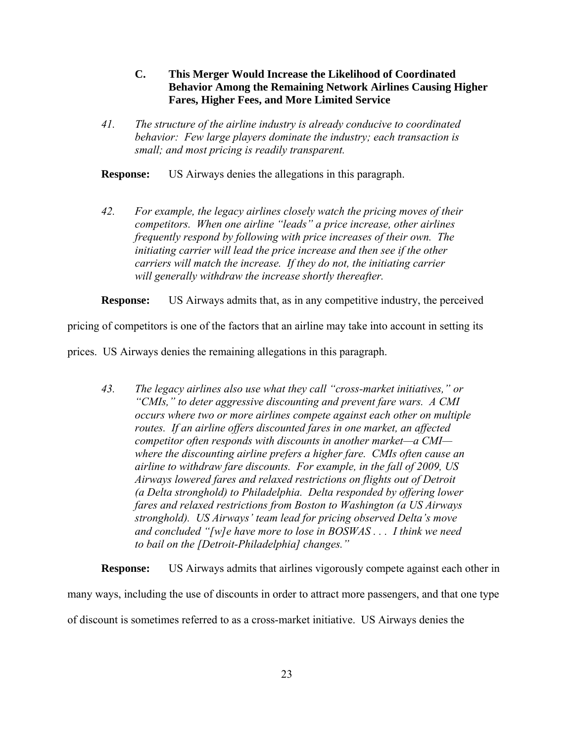- **C. This Merger Would Increase the Likelihood of Coordinated Behavior Among the Remaining Network Airlines Causing Higher Fares, Higher Fees, and More Limited Service**
- *41. The structure of the airline industry is already conducive to coordinated behavior: Few large players dominate the industry; each transaction is small; and most pricing is readily transparent.*

**Response:** US Airways denies the allegations in this paragraph.

*42. For example, the legacy airlines closely watch the pricing moves of their competitors. When one airline "leads" a price increase, other airlines frequently respond by following with price increases of their own. The initiating carrier will lead the price increase and then see if the other carriers will match the increase. If they do not, the initiating carrier will generally withdraw the increase shortly thereafter.*

**Response:** US Airways admits that, as in any competitive industry, the perceived

pricing of competitors is one of the factors that an airline may take into account in setting its

prices. US Airways denies the remaining allegations in this paragraph.

*43. The legacy airlines also use what they call "cross-market initiatives," or "CMIs," to deter aggressive discounting and prevent fare wars. A CMI occurs where two or more airlines compete against each other on multiple routes. If an airline offers discounted fares in one market, an affected competitor often responds with discounts in another market—a CMI where the discounting airline prefers a higher fare. CMIs often cause an airline to withdraw fare discounts. For example, in the fall of 2009, US Airways lowered fares and relaxed restrictions on flights out of Detroit (a Delta stronghold) to Philadelphia. Delta responded by offering lower fares and relaxed restrictions from Boston to Washington (a US Airways stronghold). US Airways' team lead for pricing observed Delta's move and concluded "[w]e have more to lose in BOSWAS . . . I think we need to bail on the [Detroit-Philadelphia] changes."* 

**Response:** US Airways admits that airlines vigorously compete against each other in many ways, including the use of discounts in order to attract more passengers, and that one type of discount is sometimes referred to as a cross-market initiative. US Airways denies the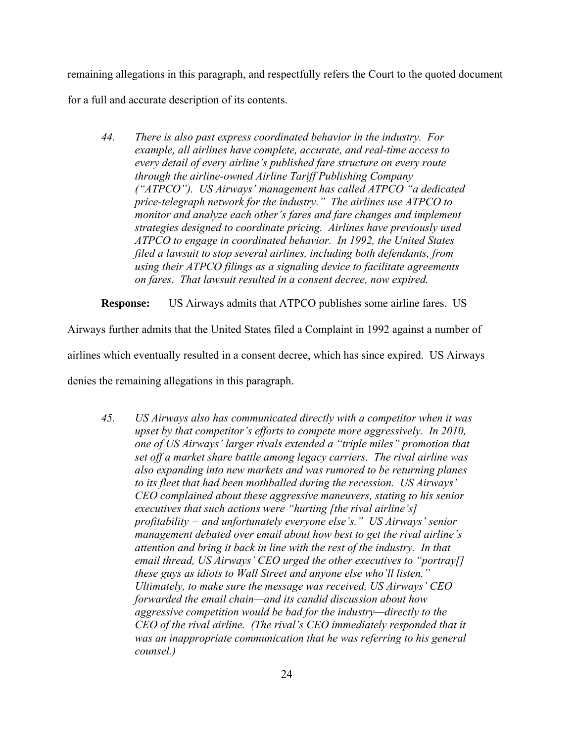remaining allegations in this paragraph, and respectfully refers the Court to the quoted document for a full and accurate description of its contents.

*44. There is also past express coordinated behavior in the industry. For example, all airlines have complete, accurate, and real-time access to every detail of every airline's published fare structure on every route through the airline-owned Airline Tariff Publishing Company ("ATPCO"). US Airways' management has called ATPCO "a dedicated price-telegraph network for the industry." The airlines use ATPCO to monitor and analyze each other's fares and fare changes and implement strategies designed to coordinate pricing. Airlines have previously used ATPCO to engage in coordinated behavior. In 1992, the United States filed a lawsuit to stop several airlines, including both defendants, from using their ATPCO filings as a signaling device to facilitate agreements on fares. That lawsuit resulted in a consent decree, now expired.*

**Response:** US Airways admits that ATPCO publishes some airline fares. US

Airways further admits that the United States filed a Complaint in 1992 against a number of airlines which eventually resulted in a consent decree, which has since expired. US Airways denies the remaining allegations in this paragraph.

*45. US Airways also has communicated directly with a competitor when it was upset by that competitor's efforts to compete more aggressively. In 2010, one of US Airways' larger rivals extended a "triple miles" promotion that set off a market share battle among legacy carriers. The rival airline was also expanding into new markets and was rumored to be returning planes to its fleet that had been mothballed during the recession. US Airways' CEO complained about these aggressive maneuvers, stating to his senior executives that such actions were "hurting [the rival airline's] profitability − and unfortunately everyone else's." US Airways' senior management debated over email about how best to get the rival airline's attention and bring it back in line with the rest of the industry. In that email thread, US Airways' CEO urged the other executives to "portray[] these guys as idiots to Wall Street and anyone else who'll listen." Ultimately, to make sure the message was received, US Airways' CEO forwarded the email chain—and its candid discussion about how aggressive competition would be bad for the industry—directly to the CEO of the rival airline. (The rival's CEO immediately responded that it was an inappropriate communication that he was referring to his general counsel.)*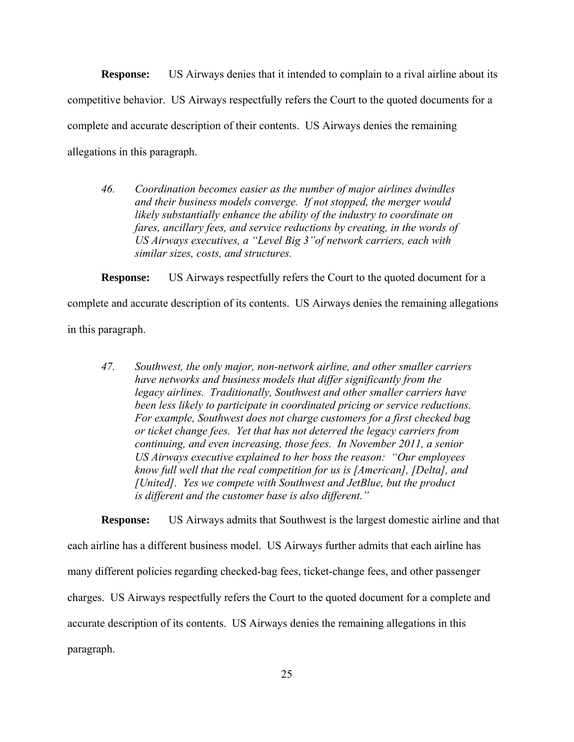**Response:** US Airways denies that it intended to complain to a rival airline about its competitive behavior. US Airways respectfully refers the Court to the quoted documents for a complete and accurate description of their contents. US Airways denies the remaining allegations in this paragraph.

*46. Coordination becomes easier as the number of major airlines dwindles and their business models converge. If not stopped, the merger would likely substantially enhance the ability of the industry to coordinate on fares, ancillary fees, and service reductions by creating, in the words of US Airways executives, a "Level Big 3"of network carriers, each with similar sizes, costs, and structures.*

**Response:** US Airways respectfully refers the Court to the quoted document for a

complete and accurate description of its contents. US Airways denies the remaining allegations

in this paragraph.

*47. Southwest, the only major, non-network airline, and other smaller carriers have networks and business models that differ significantly from the legacy airlines. Traditionally, Southwest and other smaller carriers have been less likely to participate in coordinated pricing or service reductions. For example, Southwest does not charge customers for a first checked bag or ticket change fees. Yet that has not deterred the legacy carriers from continuing, and even increasing, those fees. In November 2011, a senior US Airways executive explained to her boss the reason: "Our employees know full well that the real competition for us is [American], [Delta], and [United]. Yes we compete with Southwest and JetBlue, but the product is different and the customer base is also different."* 

**Response:** US Airways admits that Southwest is the largest domestic airline and that each airline has a different business model. US Airways further admits that each airline has many different policies regarding checked-bag fees, ticket-change fees, and other passenger charges. US Airways respectfully refers the Court to the quoted document for a complete and accurate description of its contents. US Airways denies the remaining allegations in this paragraph.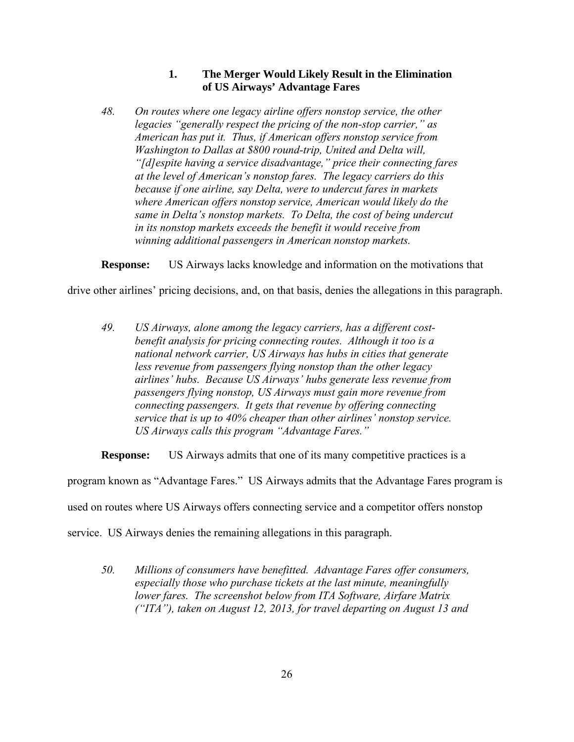# **1. The Merger Would Likely Result in the Elimination of US Airways' Advantage Fares**

*48. On routes where one legacy airline offers nonstop service, the other legacies "generally respect the pricing of the non-stop carrier," as American has put it. Thus, if American offers nonstop service from Washington to Dallas at \$800 round-trip, United and Delta will, "[d]espite having a service disadvantage," price their connecting fares at the level of American's nonstop fares. The legacy carriers do this because if one airline, say Delta, were to undercut fares in markets where American offers nonstop service, American would likely do the same in Delta's nonstop markets. To Delta, the cost of being undercut in its nonstop markets exceeds the benefit it would receive from winning additional passengers in American nonstop markets.* 

**Response:** US Airways lacks knowledge and information on the motivations that

drive other airlines' pricing decisions, and, on that basis, denies the allegations in this paragraph.

*49. US Airways, alone among the legacy carriers, has a different costbenefit analysis for pricing connecting routes. Although it too is a national network carrier, US Airways has hubs in cities that generate less revenue from passengers flying nonstop than the other legacy airlines' hubs. Because US Airways' hubs generate less revenue from passengers flying nonstop, US Airways must gain more revenue from connecting passengers. It gets that revenue by offering connecting service that is up to 40% cheaper than other airlines' nonstop service. US Airways calls this program "Advantage Fares."*

**Response:** US Airways admits that one of its many competitive practices is a

program known as "Advantage Fares." US Airways admits that the Advantage Fares program is

used on routes where US Airways offers connecting service and a competitor offers nonstop

service. US Airways denies the remaining allegations in this paragraph.

*50. Millions of consumers have benefitted. Advantage Fares offer consumers, especially those who purchase tickets at the last minute, meaningfully lower fares. The screenshot below from ITA Software, Airfare Matrix ("ITA"), taken on August 12, 2013, for travel departing on August 13 and*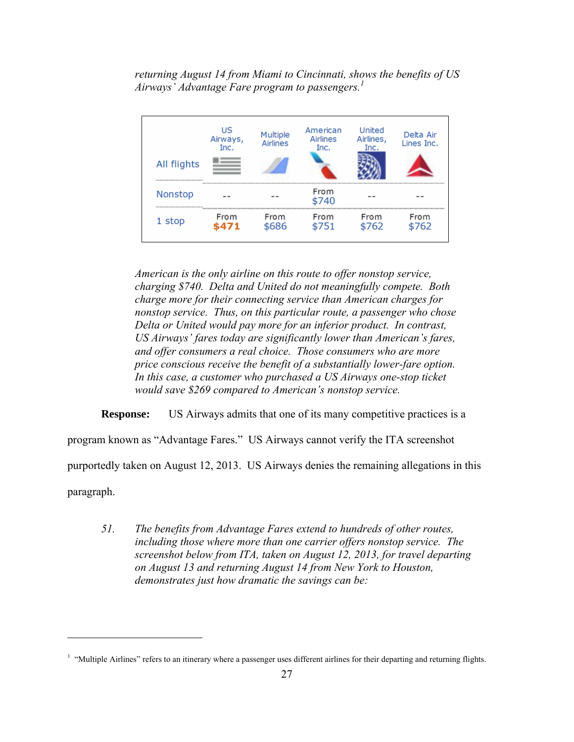*returning August 14 from Miami to Cincinnati, shows the benefits of US Airways' Advantage Fare program to passengers.1*



*American is the only airline on this route to offer nonstop service, charging \$740. Delta and United do not meaningfully compete. Both charge more for their connecting service than American charges for nonstop service. Thus, on this particular route, a passenger who chose Delta or United would pay more for an inferior product. In contrast, US Airways' fares today are significantly lower than American's fares, and offer consumers a real choice. Those consumers who are more price conscious receive the benefit of a substantially lower-fare option. In this case, a customer who purchased a US Airways one-stop ticket would save \$269 compared to American's nonstop service.* 

**Response:** US Airways admits that one of its many competitive practices is a

program known as "Advantage Fares." US Airways cannot verify the ITA screenshot

purportedly taken on August 12, 2013. US Airways denies the remaining allegations in this

paragraph.

 $\overline{a}$ 

*51. The benefits from Advantage Fares extend to hundreds of other routes, including those where more than one carrier offers nonstop service. The screenshot below from ITA, taken on August 12, 2013, for travel departing on August 13 and returning August 14 from New York to Houston, demonstrates just how dramatic the savings can be:* 

<sup>&</sup>lt;sup>1</sup> "Multiple Airlines" refers to an itinerary where a passenger uses different airlines for their departing and returning flights.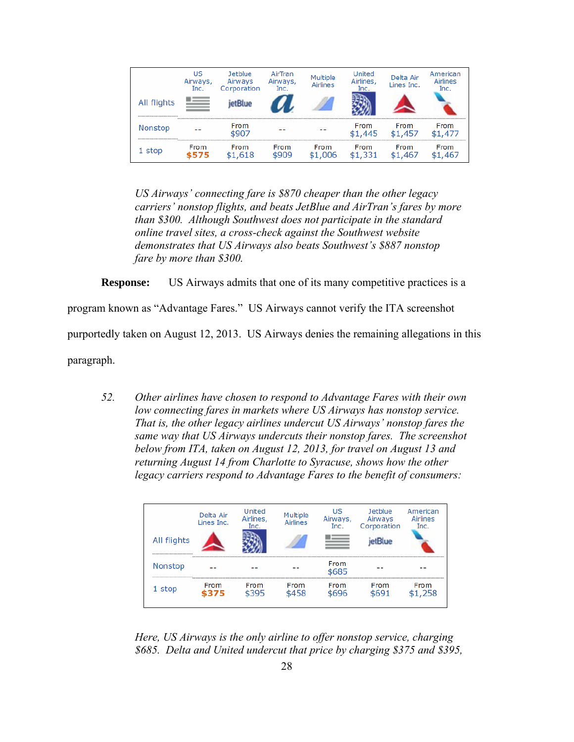

*US Airways' connecting fare is \$870 cheaper than the other legacy carriers' nonstop flights, and beats JetBlue and AirTran's fares by more than \$300. Although Southwest does not participate in the standard online travel sites, a cross-check against the Southwest website demonstrates that US Airways also beats Southwest's \$887 nonstop fare by more than \$300.* 

**Response:** US Airways admits that one of its many competitive practices is a

program known as "Advantage Fares." US Airways cannot verify the ITA screenshot

purportedly taken on August 12, 2013. US Airways denies the remaining allegations in this

paragraph.

*52. Other airlines have chosen to respond to Advantage Fares with their own low connecting fares in markets where US Airways has nonstop service. That is, the other legacy airlines undercut US Airways' nonstop fares the same way that US Airways undercuts their nonstop fares. The screenshot below from ITA, taken on August 12, 2013, for travel on August 13 and returning August 14 from Charlotte to Syracuse, shows how the other legacy carriers respond to Advantage Fares to the benefit of consumers:* 

| All flights    | Delta Air<br>Lines Inc. | United<br>Airlines,<br>Inc. | Multiple<br><b>Airlines</b> | US<br>Airways,<br>Inc. | Jetblue<br>Airways<br>Corporation | American<br>Airlines<br>Inc. |
|----------------|-------------------------|-----------------------------|-----------------------------|------------------------|-----------------------------------|------------------------------|
| <b>Nonstop</b> |                         |                             |                             | From<br>\$685          |                                   |                              |
| 1 stop         | From<br>375             | From<br>\$395               | From<br>\$458               | From<br>\$696          | From<br>¢691                      | <b>From</b><br>\$1,258       |

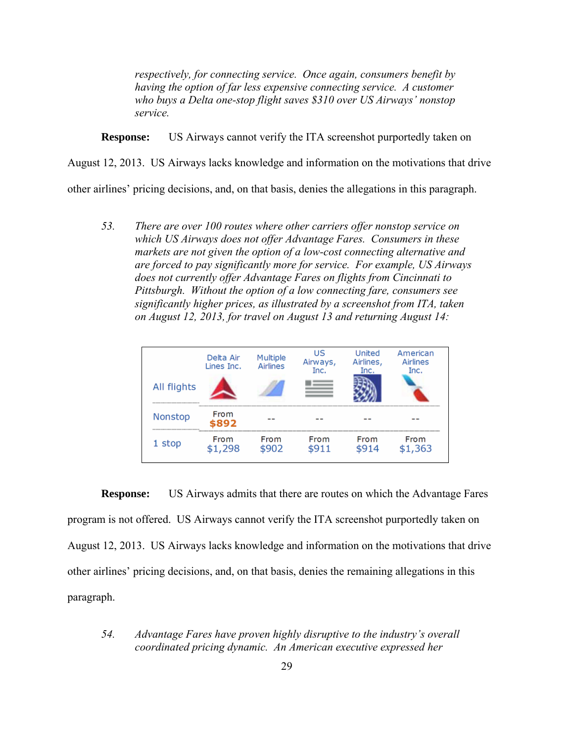*respectively, for connecting service. Once again, consumers benefit by having the option of far less expensive connecting service. A customer who buys a Delta one-stop flight saves \$310 over US Airways' nonstop service.* 

**Response:** US Airways cannot verify the ITA screenshot purportedly taken on

August 12, 2013. US Airways lacks knowledge and information on the motivations that drive

other airlines' pricing decisions, and, on that basis, denies the allegations in this paragraph.

*53. There are over 100 routes where other carriers offer nonstop service on which US Airways does not offer Advantage Fares. Consumers in these markets are not given the option of a low-cost connecting alternative and are forced to pay significantly more for service. For example, US Airways does not currently offer Advantage Fares on flights from Cincinnati to Pittsburgh. Without the option of a low connecting fare, consumers see significantly higher prices, as illustrated by a screenshot from ITA, taken on August 12, 2013, for travel on August 13 and returning August 14:*



**Response:** US Airways admits that there are routes on which the Advantage Fares program is not offered. US Airways cannot verify the ITA screenshot purportedly taken on August 12, 2013. US Airways lacks knowledge and information on the motivations that drive other airlines' pricing decisions, and, on that basis, denies the remaining allegations in this paragraph.

*54. Advantage Fares have proven highly disruptive to the industry's overall coordinated pricing dynamic. An American executive expressed her*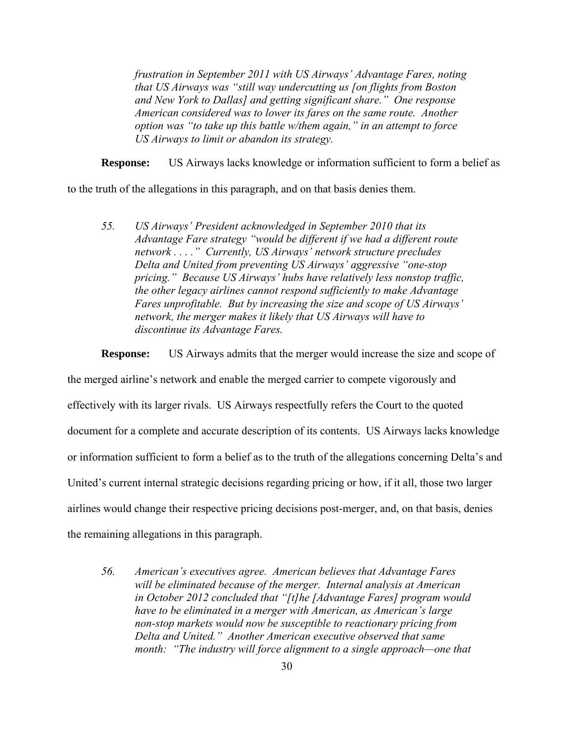*frustration in September 2011 with US Airways' Advantage Fares, noting that US Airways was "still way undercutting us [on flights from Boston and New York to Dallas] and getting significant share." One response American considered was to lower its fares on the same route. Another option was "to take up this battle w/them again," in an attempt to force US Airways to limit or abandon its strategy.* 

**Response:** US Airways lacks knowledge or information sufficient to form a belief as

to the truth of the allegations in this paragraph, and on that basis denies them.

*55. US Airways' President acknowledged in September 2010 that its Advantage Fare strategy "would be different if we had a different route network . . . ." Currently, US Airways' network structure precludes Delta and United from preventing US Airways' aggressive "one-stop pricing." Because US Airways' hubs have relatively less nonstop traffic, the other legacy airlines cannot respond sufficiently to make Advantage Fares unprofitable. But by increasing the size and scope of US Airways' network, the merger makes it likely that US Airways will have to discontinue its Advantage Fares.* 

**Response:** US Airways admits that the merger would increase the size and scope of

the merged airline's network and enable the merged carrier to compete vigorously and effectively with its larger rivals. US Airways respectfully refers the Court to the quoted document for a complete and accurate description of its contents. US Airways lacks knowledge or information sufficient to form a belief as to the truth of the allegations concerning Delta's and United's current internal strategic decisions regarding pricing or how, if it all, those two larger airlines would change their respective pricing decisions post-merger, and, on that basis, denies the remaining allegations in this paragraph.

*56. American's executives agree. American believes that Advantage Fares will be eliminated because of the merger. Internal analysis at American in October 2012 concluded that "[t]he [Advantage Fares] program would have to be eliminated in a merger with American, as American's large non-stop markets would now be susceptible to reactionary pricing from Delta and United." Another American executive observed that same month: "The industry will force alignment to a single approach—one that*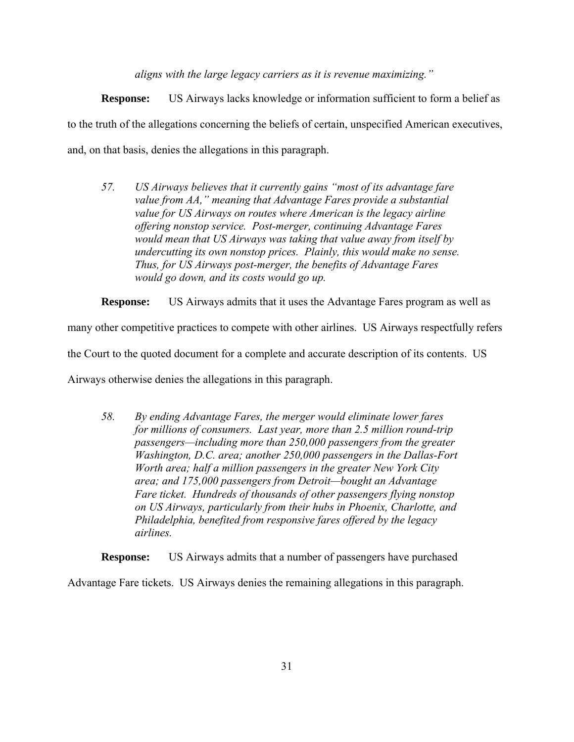*aligns with the large legacy carriers as it is revenue maximizing."* 

**Response:** US Airways lacks knowledge or information sufficient to form a belief as to the truth of the allegations concerning the beliefs of certain, unspecified American executives, and, on that basis, denies the allegations in this paragraph.

*57. US Airways believes that it currently gains "most of its advantage fare value from AA," meaning that Advantage Fares provide a substantial value for US Airways on routes where American is the legacy airline offering nonstop service. Post-merger, continuing Advantage Fares would mean that US Airways was taking that value away from itself by undercutting its own nonstop prices. Plainly, this would make no sense. Thus, for US Airways post-merger, the benefits of Advantage Fares would go down, and its costs would go up.* 

**Response:** US Airways admits that it uses the Advantage Fares program as well as

many other competitive practices to compete with other airlines. US Airways respectfully refers

the Court to the quoted document for a complete and accurate description of its contents. US

Airways otherwise denies the allegations in this paragraph.

*58. By ending Advantage Fares, the merger would eliminate lower fares for millions of consumers. Last year, more than 2.5 million round-trip passengers—including more than 250,000 passengers from the greater Washington, D.C. area; another 250,000 passengers in the Dallas-Fort Worth area; half a million passengers in the greater New York City area; and 175,000 passengers from Detroit—bought an Advantage Fare ticket. Hundreds of thousands of other passengers flying nonstop on US Airways, particularly from their hubs in Phoenix, Charlotte, and Philadelphia, benefited from responsive fares offered by the legacy airlines.* 

**Response:** US Airways admits that a number of passengers have purchased

Advantage Fare tickets. US Airways denies the remaining allegations in this paragraph.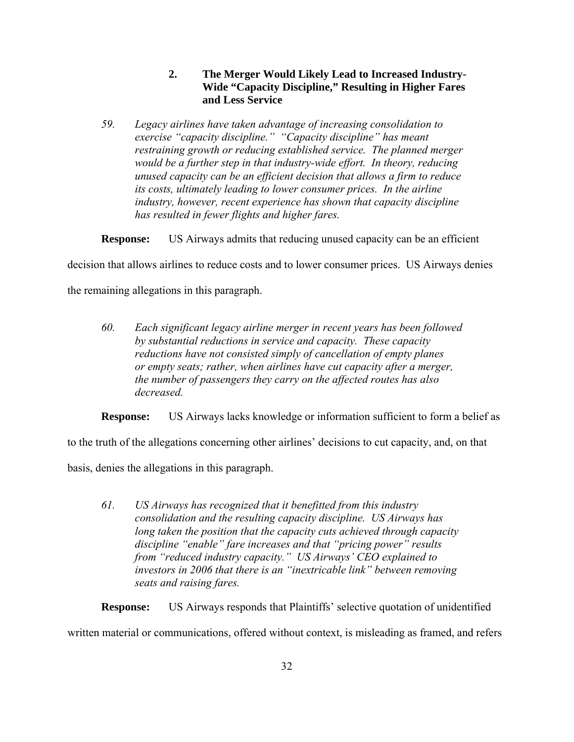**2. The Merger Would Likely Lead to Increased Industry-Wide "Capacity Discipline," Resulting in Higher Fares and Less Service** 

*59. Legacy airlines have taken advantage of increasing consolidation to exercise "capacity discipline." "Capacity discipline" has meant restraining growth or reducing established service. The planned merger would be a further step in that industry-wide effort. In theory, reducing unused capacity can be an efficient decision that allows a firm to reduce its costs, ultimately leading to lower consumer prices. In the airline industry, however, recent experience has shown that capacity discipline has resulted in fewer flights and higher fares.*

**Response:** US Airways admits that reducing unused capacity can be an efficient

decision that allows airlines to reduce costs and to lower consumer prices. US Airways denies

the remaining allegations in this paragraph.

*60. Each significant legacy airline merger in recent years has been followed by substantial reductions in service and capacity. These capacity reductions have not consisted simply of cancellation of empty planes or empty seats; rather, when airlines have cut capacity after a merger, the number of passengers they carry on the affected routes has also decreased.* 

**Response:** US Airways lacks knowledge or information sufficient to form a belief as

to the truth of the allegations concerning other airlines' decisions to cut capacity, and, on that

basis, denies the allegations in this paragraph.

*61. US Airways has recognized that it benefitted from this industry consolidation and the resulting capacity discipline. US Airways has long taken the position that the capacity cuts achieved through capacity discipline "enable" fare increases and that "pricing power" results from "reduced industry capacity." US Airways' CEO explained to investors in 2006 that there is an "inextricable link" between removing seats and raising fares.* 

**Response:** US Airways responds that Plaintiffs' selective quotation of unidentified

written material or communications, offered without context, is misleading as framed, and refers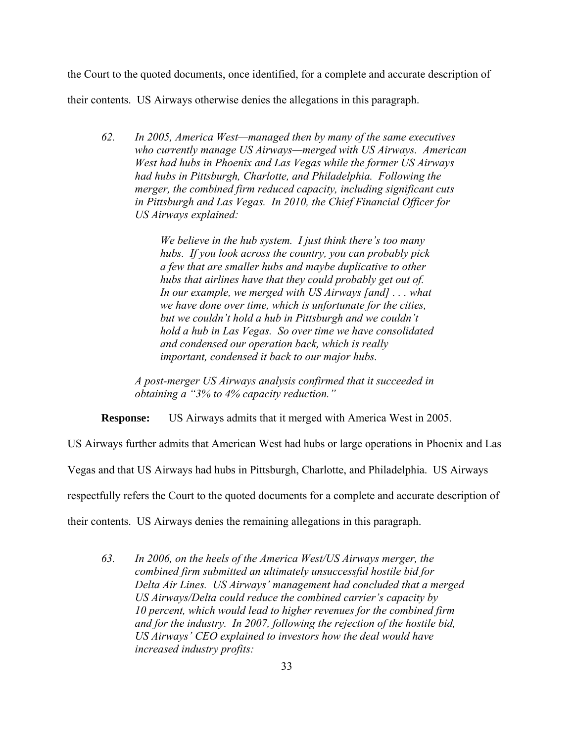the Court to the quoted documents, once identified, for a complete and accurate description of

their contents. US Airways otherwise denies the allegations in this paragraph.

*62. In 2005, America West—managed then by many of the same executives who currently manage US Airways—merged with US Airways. American West had hubs in Phoenix and Las Vegas while the former US Airways had hubs in Pittsburgh, Charlotte, and Philadelphia. Following the merger, the combined firm reduced capacity, including significant cuts in Pittsburgh and Las Vegas. In 2010, the Chief Financial Officer for US Airways explained:* 

> *We believe in the hub system. I just think there's too many hubs. If you look across the country, you can probably pick a few that are smaller hubs and maybe duplicative to other hubs that airlines have that they could probably get out of. In our example, we merged with US Airways [and] . . . what we have done over time, which is unfortunate for the cities, but we couldn't hold a hub in Pittsburgh and we couldn't hold a hub in Las Vegas. So over time we have consolidated and condensed our operation back, which is really important, condensed it back to our major hubs.*

*A post-merger US Airways analysis confirmed that it succeeded in obtaining a "3% to 4% capacity reduction."* 

**Response:** US Airways admits that it merged with America West in 2005.

US Airways further admits that American West had hubs or large operations in Phoenix and Las

Vegas and that US Airways had hubs in Pittsburgh, Charlotte, and Philadelphia. US Airways

respectfully refers the Court to the quoted documents for a complete and accurate description of

their contents. US Airways denies the remaining allegations in this paragraph.

*63. In 2006, on the heels of the America West/US Airways merger, the combined firm submitted an ultimately unsuccessful hostile bid for Delta Air Lines. US Airways' management had concluded that a merged US Airways/Delta could reduce the combined carrier's capacity by 10 percent, which would lead to higher revenues for the combined firm and for the industry. In 2007, following the rejection of the hostile bid, US Airways' CEO explained to investors how the deal would have increased industry profits:*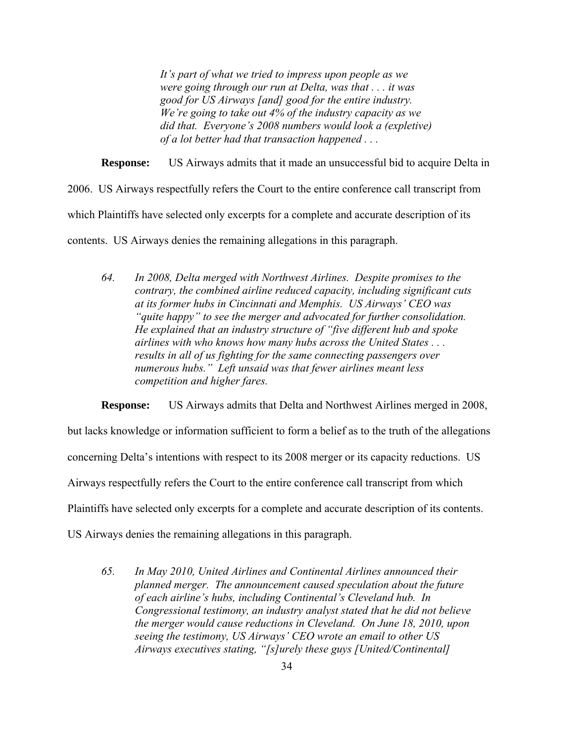*It's part of what we tried to impress upon people as we were going through our run at Delta, was that . . . it was good for US Airways [and] good for the entire industry. We're going to take out 4% of the industry capacity as we did that. Everyone's 2008 numbers would look a (expletive) of a lot better had that transaction happened . . .* 

**Response:** US Airways admits that it made an unsuccessful bid to acquire Delta in

2006. US Airways respectfully refers the Court to the entire conference call transcript from which Plaintiffs have selected only excerpts for a complete and accurate description of its

contents. US Airways denies the remaining allegations in this paragraph.

*64. In 2008, Delta merged with Northwest Airlines. Despite promises to the contrary, the combined airline reduced capacity, including significant cuts at its former hubs in Cincinnati and Memphis. US Airways' CEO was "quite happy" to see the merger and advocated for further consolidation. He explained that an industry structure of "five different hub and spoke airlines with who knows how many hubs across the United States . . . results in all of us fighting for the same connecting passengers over numerous hubs." Left unsaid was that fewer airlines meant less competition and higher fares.* 

**Response:** US Airways admits that Delta and Northwest Airlines merged in 2008,

but lacks knowledge or information sufficient to form a belief as to the truth of the allegations

concerning Delta's intentions with respect to its 2008 merger or its capacity reductions. US

Airways respectfully refers the Court to the entire conference call transcript from which

Plaintiffs have selected only excerpts for a complete and accurate description of its contents.

US Airways denies the remaining allegations in this paragraph.

*65. In May 2010, United Airlines and Continental Airlines announced their planned merger. The announcement caused speculation about the future of each airline's hubs, including Continental's Cleveland hub. In Congressional testimony, an industry analyst stated that he did not believe the merger would cause reductions in Cleveland. On June 18, 2010, upon seeing the testimony, US Airways' CEO wrote an email to other US Airways executives stating, "[s]urely these guys [United/Continental]*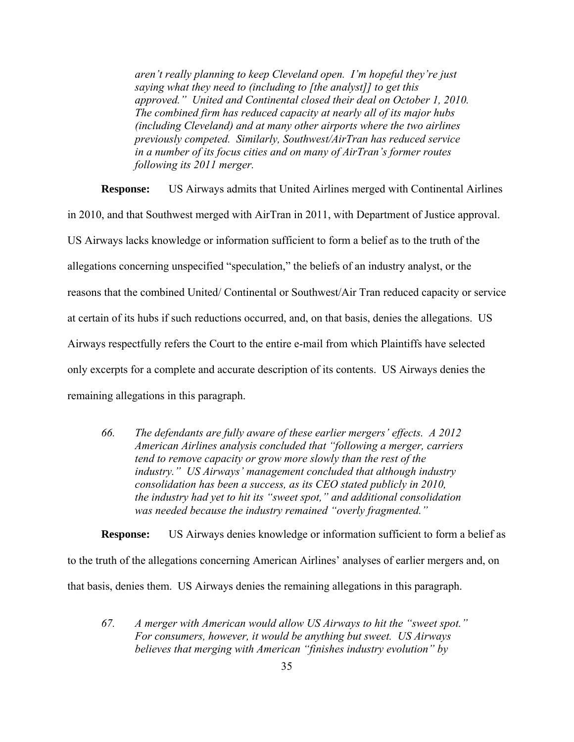*aren't really planning to keep Cleveland open. I'm hopeful they're just saying what they need to (including to [the analyst]] to get this approved." United and Continental closed their deal on October 1, 2010. The combined firm has reduced capacity at nearly all of its major hubs (including Cleveland) and at many other airports where the two airlines previously competed. Similarly, Southwest/AirTran has reduced service in a number of its focus cities and on many of AirTran's former routes following its 2011 merger.* 

**Response:** US Airways admits that United Airlines merged with Continental Airlines in 2010, and that Southwest merged with AirTran in 2011, with Department of Justice approval. US Airways lacks knowledge or information sufficient to form a belief as to the truth of the allegations concerning unspecified "speculation," the beliefs of an industry analyst, or the reasons that the combined United/ Continental or Southwest/Air Tran reduced capacity or service at certain of its hubs if such reductions occurred, and, on that basis, denies the allegations. US Airways respectfully refers the Court to the entire e-mail from which Plaintiffs have selected only excerpts for a complete and accurate description of its contents. US Airways denies the remaining allegations in this paragraph.

*66. The defendants are fully aware of these earlier mergers' effects. A 2012 American Airlines analysis concluded that "following a merger, carriers tend to remove capacity or grow more slowly than the rest of the industry." US Airways' management concluded that although industry consolidation has been a success, as its CEO stated publicly in 2010, the industry had yet to hit its "sweet spot," and additional consolidation was needed because the industry remained "overly fragmented."* 

**Response:** US Airways denies knowledge or information sufficient to form a belief as

to the truth of the allegations concerning American Airlines' analyses of earlier mergers and, on

that basis, denies them. US Airways denies the remaining allegations in this paragraph.

*67. A merger with American would allow US Airways to hit the "sweet spot." For consumers, however, it would be anything but sweet. US Airways believes that merging with American "finishes industry evolution" by*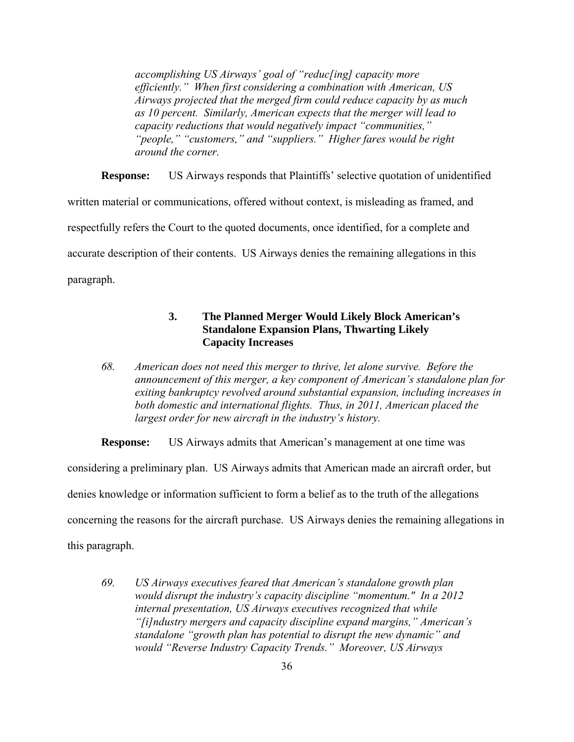*accomplishing US Airways' goal of "reduc[ing] capacity more efficiently." When first considering a combination with American, US Airways projected that the merged firm could reduce capacity by as much as 10 percent. Similarly, American expects that the merger will lead to capacity reductions that would negatively impact "communities," "people," "customers," and "suppliers." Higher fares would be right around the corner.* 

**Response:** US Airways responds that Plaintiffs' selective quotation of unidentified written material or communications, offered without context, is misleading as framed, and respectfully refers the Court to the quoted documents, once identified, for a complete and accurate description of their contents. US Airways denies the remaining allegations in this paragraph.

# **3. The Planned Merger Would Likely Block American's Standalone Expansion Plans, Thwarting Likely Capacity Increases**

*68. American does not need this merger to thrive, let alone survive. Before the announcement of this merger, a key component of American's standalone plan for exiting bankruptcy revolved around substantial expansion, including increases in both domestic and international flights. Thus, in 2011, American placed the largest order for new aircraft in the industry's history.* 

**Response:** US Airways admits that American's management at one time was considering a preliminary plan. US Airways admits that American made an aircraft order, but denies knowledge or information sufficient to form a belief as to the truth of the allegations concerning the reasons for the aircraft purchase. US Airways denies the remaining allegations in this paragraph.

*69. US Airways executives feared that American's standalone growth plan would disrupt the industry's capacity discipline "momentum." In a 2012 internal presentation, US Airways executives recognized that while "[i]ndustry mergers and capacity discipline expand margins," American's standalone "growth plan has potential to disrupt the new dynamic" and would "Reverse Industry Capacity Trends." Moreover, US Airways*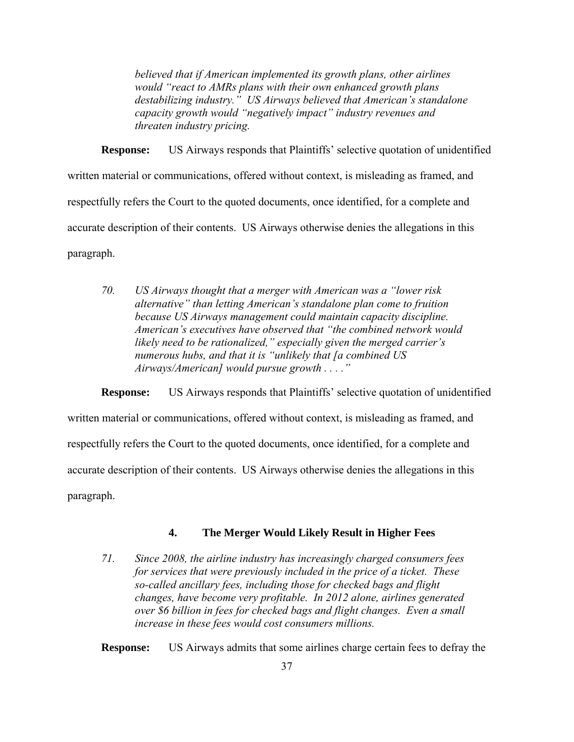*believed that if American implemented its growth plans, other airlines would "react to AMRs plans with their own enhanced growth plans destabilizing industry." US Airways believed that American's standalone capacity growth would "negatively impact" industry revenues and threaten industry pricing.* 

**Response:** US Airways responds that Plaintiffs' selective quotation of unidentified written material or communications, offered without context, is misleading as framed, and respectfully refers the Court to the quoted documents, once identified, for a complete and accurate description of their contents. US Airways otherwise denies the allegations in this paragraph.

*70. US Airways thought that a merger with American was a "lower risk alternative" than letting American's standalone plan come to fruition because US Airways management could maintain capacity discipline. American's executives have observed that "the combined network would likely need to be rationalized," especially given the merged carrier's numerous hubs, and that it is "unlikely that [a combined US Airways/American] would pursue growth . . . ."* 

**Response:** US Airways responds that Plaintiffs' selective quotation of unidentified written material or communications, offered without context, is misleading as framed, and respectfully refers the Court to the quoted documents, once identified, for a complete and accurate description of their contents. US Airways otherwise denies the allegations in this paragraph.

# **4. The Merger Would Likely Result in Higher Fees**

*71. Since 2008, the airline industry has increasingly charged consumers fees for services that were previously included in the price of a ticket. These so-called ancillary fees, including those for checked bags and flight changes, have become very profitable. In 2012 alone, airlines generated over \$6 billion in fees for checked bags and flight changes. Even a small increase in these fees would cost consumers millions.* 

**Response:** US Airways admits that some airlines charge certain fees to defray the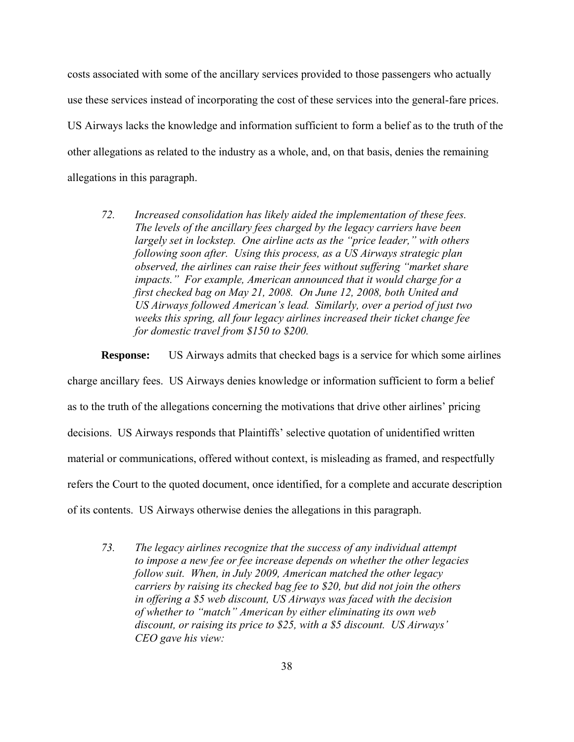costs associated with some of the ancillary services provided to those passengers who actually use these services instead of incorporating the cost of these services into the general-fare prices. US Airways lacks the knowledge and information sufficient to form a belief as to the truth of the other allegations as related to the industry as a whole, and, on that basis, denies the remaining allegations in this paragraph.

*72. Increased consolidation has likely aided the implementation of these fees. The levels of the ancillary fees charged by the legacy carriers have been largely set in lockstep. One airline acts as the "price leader," with others following soon after. Using this process, as a US Airways strategic plan observed, the airlines can raise their fees without suffering "market share impacts." For example, American announced that it would charge for a first checked bag on May 21, 2008. On June 12, 2008, both United and US Airways followed American's lead. Similarly, over a period of just two weeks this spring, all four legacy airlines increased their ticket change fee for domestic travel from \$150 to \$200.* 

**Response:** US Airways admits that checked bags is a service for which some airlines charge ancillary fees. US Airways denies knowledge or information sufficient to form a belief as to the truth of the allegations concerning the motivations that drive other airlines' pricing decisions. US Airways responds that Plaintiffs' selective quotation of unidentified written material or communications, offered without context, is misleading as framed, and respectfully refers the Court to the quoted document, once identified, for a complete and accurate description of its contents. US Airways otherwise denies the allegations in this paragraph.

*73. The legacy airlines recognize that the success of any individual attempt to impose a new fee or fee increase depends on whether the other legacies follow suit. When, in July 2009, American matched the other legacy carriers by raising its checked bag fee to \$20, but did not join the others in offering a \$5 web discount, US Airways was faced with the decision of whether to "match" American by either eliminating its own web discount, or raising its price to \$25, with a \$5 discount. US Airways' CEO gave his view:*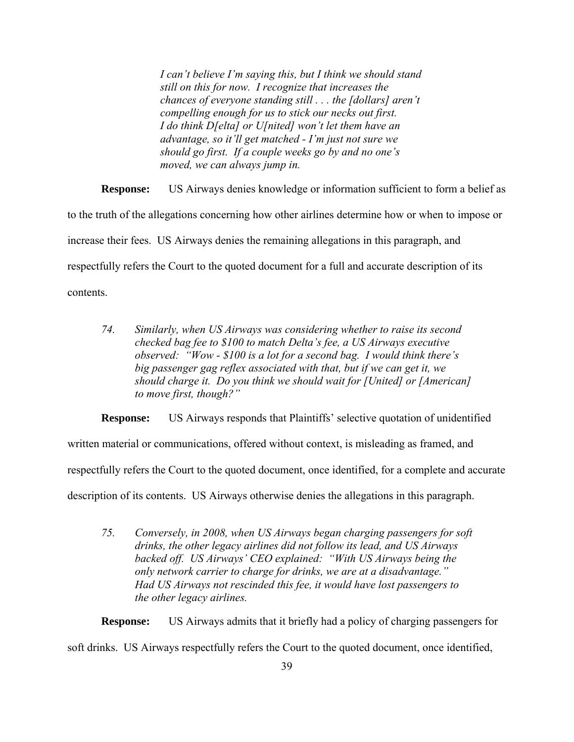*I can't believe I'm saying this, but I think we should stand still on this for now. I recognize that increases the chances of everyone standing still . . . the [dollars] aren't compelling enough for us to stick our necks out first. I do think D[elta] or U[nited] won't let them have an advantage, so it'll get matched - I'm just not sure we should go first. If a couple weeks go by and no one's moved, we can always jump in.* 

**Response:** US Airways denies knowledge or information sufficient to form a belief as to the truth of the allegations concerning how other airlines determine how or when to impose or increase their fees. US Airways denies the remaining allegations in this paragraph, and respectfully refers the Court to the quoted document for a full and accurate description of its contents.

*74. Similarly, when US Airways was considering whether to raise its second checked bag fee to \$100 to match Delta's fee, a US Airways executive observed: "Wow - \$100 is a lot for a second bag. I would think there's big passenger gag reflex associated with that, but if we can get it, we should charge it. Do you think we should wait for [United] or [American] to move first, though?"* 

**Response:** US Airways responds that Plaintiffs' selective quotation of unidentified

written material or communications, offered without context, is misleading as framed, and

respectfully refers the Court to the quoted document, once identified, for a complete and accurate

description of its contents. US Airways otherwise denies the allegations in this paragraph.

*75. Conversely, in 2008, when US Airways began charging passengers for soft drinks, the other legacy airlines did not follow its lead, and US Airways backed off. US Airways' CEO explained: "With US Airways being the only network carrier to charge for drinks, we are at a disadvantage." Had US Airways not rescinded this fee, it would have lost passengers to the other legacy airlines.* 

**Response:** US Airways admits that it briefly had a policy of charging passengers for soft drinks. US Airways respectfully refers the Court to the quoted document, once identified,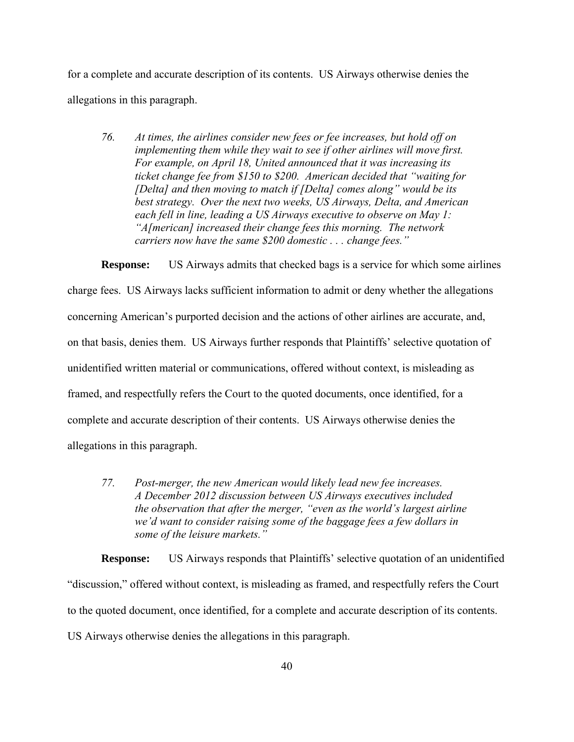for a complete and accurate description of its contents. US Airways otherwise denies the allegations in this paragraph.

*76. At times, the airlines consider new fees or fee increases, but hold off on implementing them while they wait to see if other airlines will move first. For example, on April 18, United announced that it was increasing its ticket change fee from \$150 to \$200. American decided that "waiting for [Delta] and then moving to match if [Delta] comes along" would be its best strategy. Over the next two weeks, US Airways, Delta, and American each fell in line, leading a US Airways executive to observe on May 1: "A[merican] increased their change fees this morning. The network carriers now have the same \$200 domestic . . . change fees."* 

**Response:** US Airways admits that checked bags is a service for which some airlines charge fees. US Airways lacks sufficient information to admit or deny whether the allegations concerning American's purported decision and the actions of other airlines are accurate, and, on that basis, denies them. US Airways further responds that Plaintiffs' selective quotation of unidentified written material or communications, offered without context, is misleading as framed, and respectfully refers the Court to the quoted documents, once identified, for a complete and accurate description of their contents. US Airways otherwise denies the allegations in this paragraph.

*77. Post-merger, the new American would likely lead new fee increases. A December 2012 discussion between US Airways executives included the observation that after the merger, "even as the world's largest airline we'd want to consider raising some of the baggage fees a few dollars in some of the leisure markets."* 

**Response:** US Airways responds that Plaintiffs' selective quotation of an unidentified "discussion," offered without context, is misleading as framed, and respectfully refers the Court to the quoted document, once identified, for a complete and accurate description of its contents. US Airways otherwise denies the allegations in this paragraph.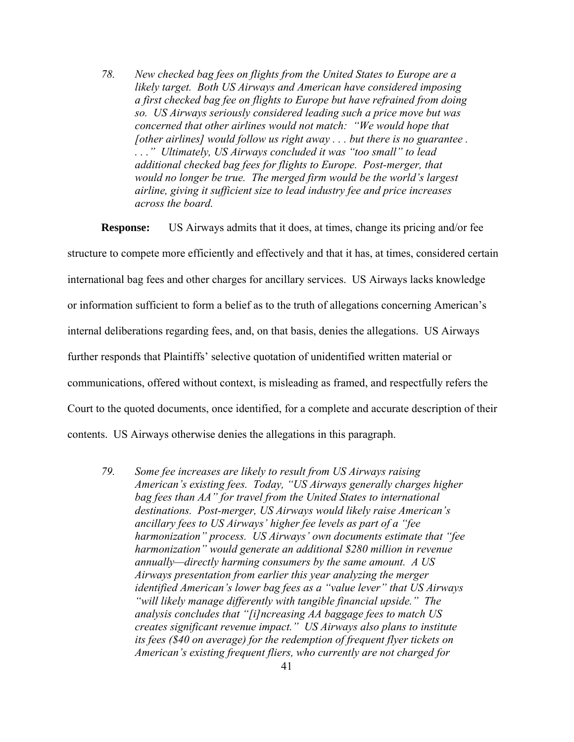*78. New checked bag fees on flights from the United States to Europe are a likely target. Both US Airways and American have considered imposing a first checked bag fee on flights to Europe but have refrained from doing so. US Airways seriously considered leading such a price move but was concerned that other airlines would not match: "We would hope that [other airlines] would follow us right away . . . but there is no guarantee . . . ." Ultimately, US Airways concluded it was "too small" to lead additional checked bag fees for flights to Europe. Post-merger, that would no longer be true. The merged firm would be the world's largest airline, giving it sufficient size to lead industry fee and price increases across the board.* 

**Response:** US Airways admits that it does, at times, change its pricing and/or fee structure to compete more efficiently and effectively and that it has, at times, considered certain international bag fees and other charges for ancillary services. US Airways lacks knowledge or information sufficient to form a belief as to the truth of allegations concerning American's internal deliberations regarding fees, and, on that basis, denies the allegations. US Airways further responds that Plaintiffs' selective quotation of unidentified written material or communications, offered without context, is misleading as framed, and respectfully refers the Court to the quoted documents, once identified, for a complete and accurate description of their contents. US Airways otherwise denies the allegations in this paragraph.

*79. Some fee increases are likely to result from US Airways raising American's existing fees. Today, "US Airways generally charges higher bag fees than AA" for travel from the United States to international destinations. Post-merger, US Airways would likely raise American's ancillary fees to US Airways' higher fee levels as part of a "fee harmonization" process. US Airways' own documents estimate that "fee harmonization" would generate an additional \$280 million in revenue annually—directly harming consumers by the same amount. A US Airways presentation from earlier this year analyzing the merger identified American's lower bag fees as a "value lever" that US Airways "will likely manage differently with tangible financial upside." The analysis concludes that "[i]ncreasing AA baggage fees to match US creates significant revenue impact." US Airways also plans to institute its fees (\$40 on average) for the redemption of frequent flyer tickets on American's existing frequent fliers, who currently are not charged for*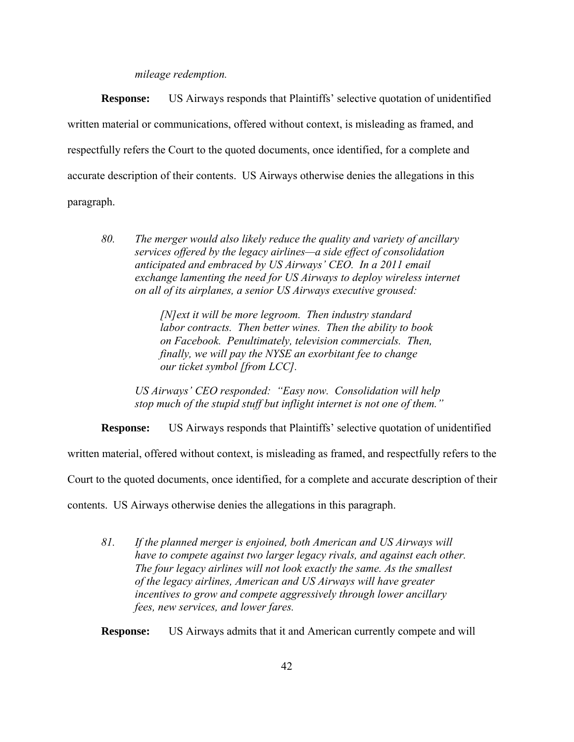### *mileage redemption.*

**Response:** US Airways responds that Plaintiffs' selective quotation of unidentified written material or communications, offered without context, is misleading as framed, and respectfully refers the Court to the quoted documents, once identified, for a complete and accurate description of their contents. US Airways otherwise denies the allegations in this paragraph.

*80. The merger would also likely reduce the quality and variety of ancillary services offered by the legacy airlines—a side effect of consolidation anticipated and embraced by US Airways' CEO. In a 2011 email exchange lamenting the need for US Airways to deploy wireless internet on all of its airplanes, a senior US Airways executive groused:* 

> *[N]ext it will be more legroom. Then industry standard labor contracts. Then better wines. Then the ability to book on Facebook. Penultimately, television commercials. Then, finally, we will pay the NYSE an exorbitant fee to change our ticket symbol [from LCC].*

*US Airways' CEO responded: "Easy now. Consolidation will help stop much of the stupid stuff but inflight internet is not one of them."* 

**Response:** US Airways responds that Plaintiffs' selective quotation of unidentified

written material, offered without context, is misleading as framed, and respectfully refers to the

Court to the quoted documents, once identified, for a complete and accurate description of their

contents. US Airways otherwise denies the allegations in this paragraph.

*81. If the planned merger is enjoined, both American and US Airways will have to compete against two larger legacy rivals, and against each other. The four legacy airlines will not look exactly the same. As the smallest of the legacy airlines, American and US Airways will have greater incentives to grow and compete aggressively through lower ancillary fees, new services, and lower fares.* 

**Response:** US Airways admits that it and American currently compete and will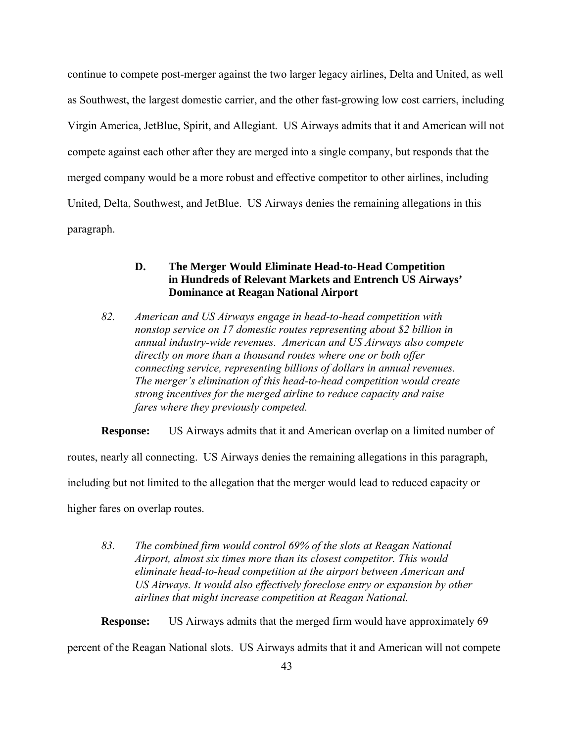continue to compete post-merger against the two larger legacy airlines, Delta and United, as well as Southwest, the largest domestic carrier, and the other fast-growing low cost carriers, including Virgin America, JetBlue, Spirit, and Allegiant. US Airways admits that it and American will not compete against each other after they are merged into a single company, but responds that the merged company would be a more robust and effective competitor to other airlines, including United, Delta, Southwest, and JetBlue. US Airways denies the remaining allegations in this paragraph.

# **D. The Merger Would Eliminate Head-to-Head Competition in Hundreds of Relevant Markets and Entrench US Airways' Dominance at Reagan National Airport**

*82. American and US Airways engage in head-to-head competition with nonstop service on 17 domestic routes representing about \$2 billion in annual industry-wide revenues. American and US Airways also compete directly on more than a thousand routes where one or both offer connecting service, representing billions of dollars in annual revenues. The merger's elimination of this head-to-head competition would create strong incentives for the merged airline to reduce capacity and raise fares where they previously competed.* 

**Response:** US Airways admits that it and American overlap on a limited number of

routes, nearly all connecting. US Airways denies the remaining allegations in this paragraph,

including but not limited to the allegation that the merger would lead to reduced capacity or

higher fares on overlap routes.

*83. The combined firm would control 69% of the slots at Reagan National Airport, almost six times more than its closest competitor. This would eliminate head-to-head competition at the airport between American and US Airways. It would also effectively foreclose entry or expansion by other airlines that might increase competition at Reagan National.* 

**Response:** US Airways admits that the merged firm would have approximately 69 percent of the Reagan National slots. US Airways admits that it and American will not compete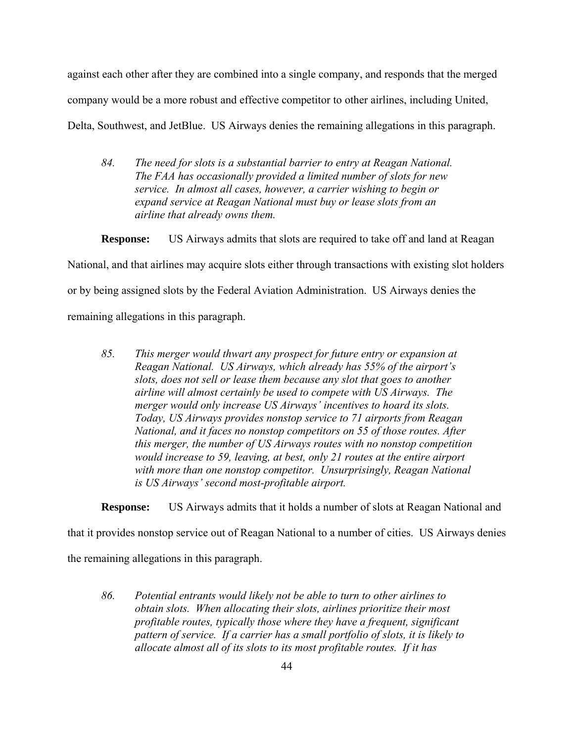against each other after they are combined into a single company, and responds that the merged company would be a more robust and effective competitor to other airlines, including United, Delta, Southwest, and JetBlue. US Airways denies the remaining allegations in this paragraph.

*84. The need for slots is a substantial barrier to entry at Reagan National. The FAA has occasionally provided a limited number of slots for new service. In almost all cases, however, a carrier wishing to begin or expand service at Reagan National must buy or lease slots from an airline that already owns them.* 

**Response:** US Airways admits that slots are required to take off and land at Reagan National, and that airlines may acquire slots either through transactions with existing slot holders or by being assigned slots by the Federal Aviation Administration. US Airways denies the

remaining allegations in this paragraph.

*85. This merger would thwart any prospect for future entry or expansion at Reagan National. US Airways, which already has 55% of the airport's slots, does not sell or lease them because any slot that goes to another airline will almost certainly be used to compete with US Airways. The merger would only increase US Airways' incentives to hoard its slots. Today, US Airways provides nonstop service to 71 airports from Reagan National, and it faces no nonstop competitors on 55 of those routes. After this merger, the number of US Airways routes with no nonstop competition would increase to 59, leaving, at best, only 21 routes at the entire airport with more than one nonstop competitor. Unsurprisingly, Reagan National is US Airways' second most-profitable airport.* 

**Response:** US Airways admits that it holds a number of slots at Reagan National and

that it provides nonstop service out of Reagan National to a number of cities. US Airways denies

the remaining allegations in this paragraph.

*86. Potential entrants would likely not be able to turn to other airlines to obtain slots. When allocating their slots, airlines prioritize their most profitable routes, typically those where they have a frequent, significant pattern of service. If a carrier has a small portfolio of slots, it is likely to allocate almost all of its slots to its most profitable routes. If it has*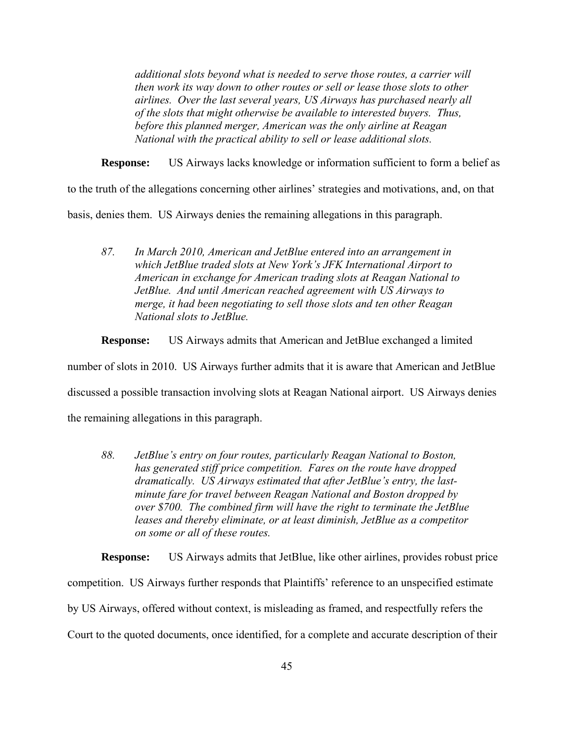*additional slots beyond what is needed to serve those routes, a carrier will then work its way down to other routes or sell or lease those slots to other airlines. Over the last several years, US Airways has purchased nearly all of the slots that might otherwise be available to interested buyers. Thus, before this planned merger, American was the only airline at Reagan National with the practical ability to sell or lease additional slots.* 

**Response:** US Airways lacks knowledge or information sufficient to form a belief as

to the truth of the allegations concerning other airlines' strategies and motivations, and, on that

basis, denies them. US Airways denies the remaining allegations in this paragraph.

*87. In March 2010, American and JetBlue entered into an arrangement in which JetBlue traded slots at New York's JFK International Airport to American in exchange for American trading slots at Reagan National to JetBlue. And until American reached agreement with US Airways to merge, it had been negotiating to sell those slots and ten other Reagan National slots to JetBlue.* 

**Response:** US Airways admits that American and JetBlue exchanged a limited

number of slots in 2010. US Airways further admits that it is aware that American and JetBlue discussed a possible transaction involving slots at Reagan National airport. US Airways denies the remaining allegations in this paragraph.

*88. JetBlue's entry on four routes, particularly Reagan National to Boston, has generated stiff price competition. Fares on the route have dropped dramatically. US Airways estimated that after JetBlue's entry, the lastminute fare for travel between Reagan National and Boston dropped by over \$700. The combined firm will have the right to terminate the JetBlue leases and thereby eliminate, or at least diminish, JetBlue as a competitor on some or all of these routes.* 

**Response:** US Airways admits that JetBlue, like other airlines, provides robust price competition. US Airways further responds that Plaintiffs' reference to an unspecified estimate by US Airways, offered without context, is misleading as framed, and respectfully refers the Court to the quoted documents, once identified, for a complete and accurate description of their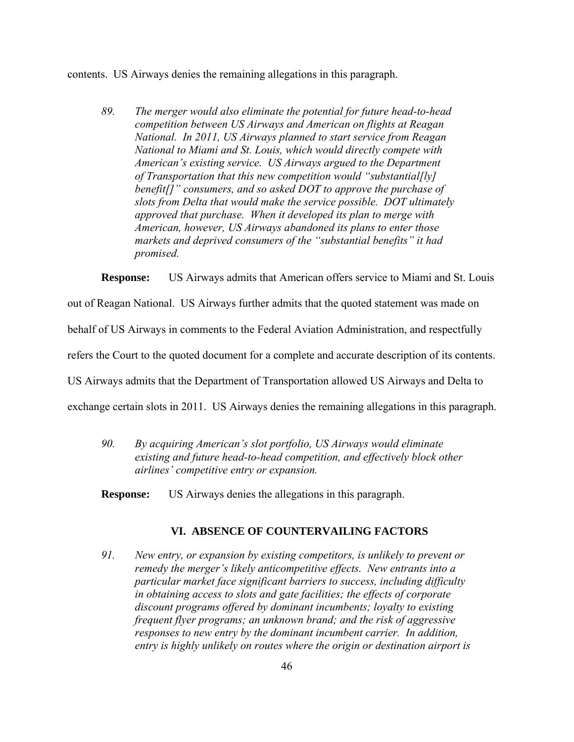contents. US Airways denies the remaining allegations in this paragraph.

*89. The merger would also eliminate the potential for future head-to-head competition between US Airways and American on flights at Reagan National. In 2011, US Airways planned to start service from Reagan National to Miami and St. Louis, which would directly compete with American's existing service. US Airways argued to the Department of Transportation that this new competition would "substantial[ly] benefit[]" consumers, and so asked DOT to approve the purchase of slots from Delta that would make the service possible. DOT ultimately approved that purchase. When it developed its plan to merge with American, however, US Airways abandoned its plans to enter those markets and deprived consumers of the "substantial benefits" it had promised.* 

**Response:** US Airways admits that American offers service to Miami and St. Louis

out of Reagan National. US Airways further admits that the quoted statement was made on

behalf of US Airways in comments to the Federal Aviation Administration, and respectfully

refers the Court to the quoted document for a complete and accurate description of its contents.

US Airways admits that the Department of Transportation allowed US Airways and Delta to

exchange certain slots in 2011. US Airways denies the remaining allegations in this paragraph.

*90. By acquiring American's slot portfolio, US Airways would eliminate existing and future head-to-head competition, and effectively block other airlines' competitive entry or expansion.* 

**Response:** US Airways denies the allegations in this paragraph.

## **VI. ABSENCE OF COUNTERVAILING FACTORS**

*91. New entry, or expansion by existing competitors, is unlikely to prevent or remedy the merger's likely anticompetitive effects. New entrants into a particular market face significant barriers to success, including difficulty in obtaining access to slots and gate facilities; the effects of corporate discount programs offered by dominant incumbents; loyalty to existing frequent flyer programs; an unknown brand; and the risk of aggressive responses to new entry by the dominant incumbent carrier. In addition, entry is highly unlikely on routes where the origin or destination airport is*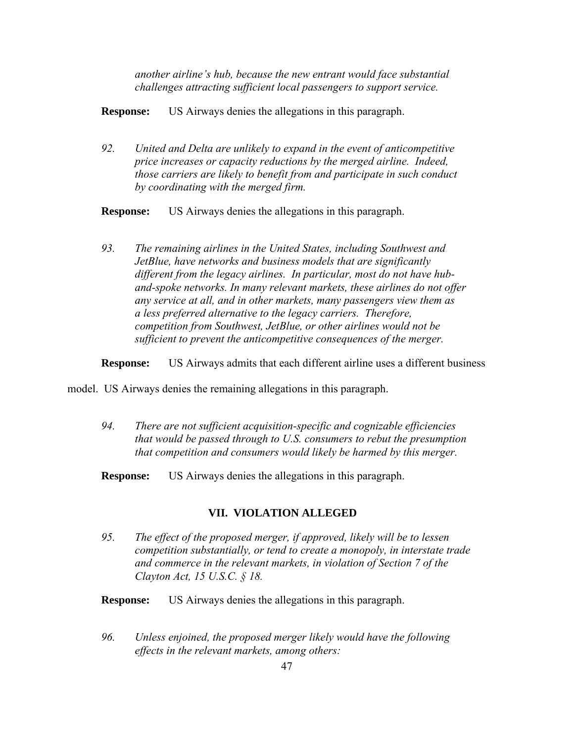*another airline's hub, because the new entrant would face substantial challenges attracting sufficient local passengers to support service.* 

**Response:** US Airways denies the allegations in this paragraph.

*92. United and Delta are unlikely to expand in the event of anticompetitive price increases or capacity reductions by the merged airline. Indeed, those carriers are likely to benefit from and participate in such conduct by coordinating with the merged firm.* 

**Response:** US Airways denies the allegations in this paragraph.

*93. The remaining airlines in the United States, including Southwest and JetBlue, have networks and business models that are significantly different from the legacy airlines. In particular, most do not have huband-spoke networks. In many relevant markets, these airlines do not offer any service at all, and in other markets, many passengers view them as a less preferred alternative to the legacy carriers. Therefore, competition from Southwest, JetBlue, or other airlines would not be sufficient to prevent the anticompetitive consequences of the merger.* 

**Response:** US Airways admits that each different airline uses a different business

model. US Airways denies the remaining allegations in this paragraph.

- *94. There are not sufficient acquisition-specific and cognizable efficiencies that would be passed through to U.S. consumers to rebut the presumption that competition and consumers would likely be harmed by this merger.*
- **Response:** US Airways denies the allegations in this paragraph.

### **VII. VIOLATION ALLEGED**

- *95. The effect of the proposed merger, if approved, likely will be to lessen competition substantially, or tend to create a monopoly, in interstate trade and commerce in the relevant markets, in violation of Section 7 of the Clayton Act, 15 U.S.C. § 18.*
- **Response:** US Airways denies the allegations in this paragraph.
- *96. Unless enjoined, the proposed merger likely would have the following effects in the relevant markets, among others:*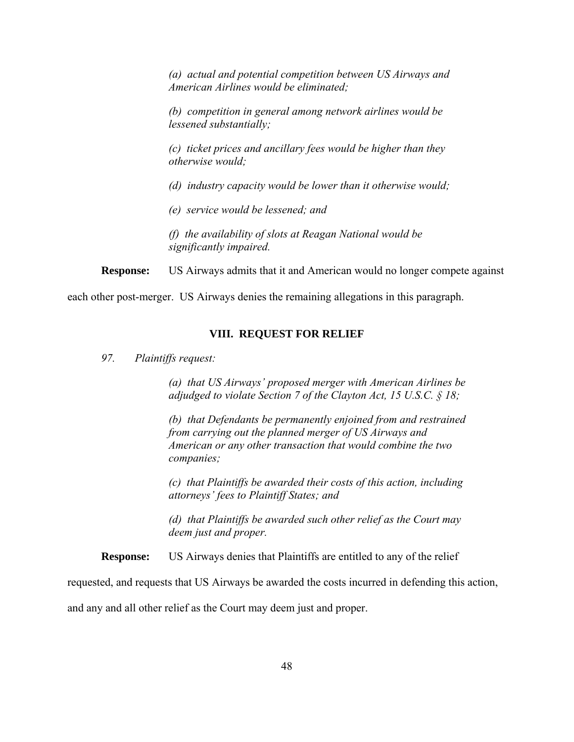*(a) actual and potential competition between US Airways and American Airlines would be eliminated;* 

*(b) competition in general among network airlines would be lessened substantially;* 

*(c) ticket prices and ancillary fees would be higher than they otherwise would;* 

*(d) industry capacity would be lower than it otherwise would;* 

*(e) service would be lessened; and* 

*(f) the availability of slots at Reagan National would be significantly impaired.* 

**Response:** US Airways admits that it and American would no longer compete against

each other post-merger. US Airways denies the remaining allegations in this paragraph.

#### **VIII. REQUEST FOR RELIEF**

*97. Plaintiffs request:* 

*(a) that US Airways' proposed merger with American Airlines be adjudged to violate Section 7 of the Clayton Act, 15 U.S.C. § 18;* 

*(b) that Defendants be permanently enjoined from and restrained from carrying out the planned merger of US Airways and American or any other transaction that would combine the two companies;* 

*(c) that Plaintiffs be awarded their costs of this action, including attorneys' fees to Plaintiff States; and* 

*(d) that Plaintiffs be awarded such other relief as the Court may deem just and proper.* 

**Response:** US Airways denies that Plaintiffs are entitled to any of the relief

requested, and requests that US Airways be awarded the costs incurred in defending this action,

and any and all other relief as the Court may deem just and proper.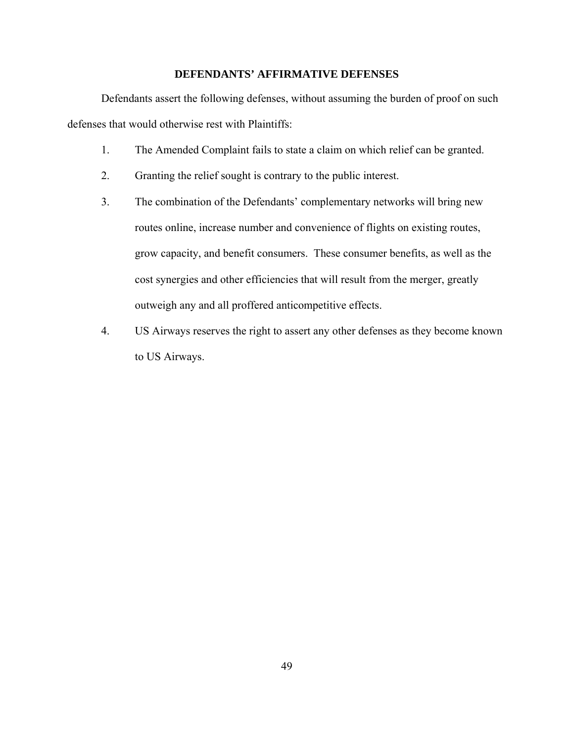# **DEFENDANTS' AFFIRMATIVE DEFENSES**

Defendants assert the following defenses, without assuming the burden of proof on such defenses that would otherwise rest with Plaintiffs:

- 1. The Amended Complaint fails to state a claim on which relief can be granted.
- 2. Granting the relief sought is contrary to the public interest.
- 3. The combination of the Defendants' complementary networks will bring new routes online, increase number and convenience of flights on existing routes, grow capacity, and benefit consumers. These consumer benefits, as well as the cost synergies and other efficiencies that will result from the merger, greatly outweigh any and all proffered anticompetitive effects.
- 4. US Airways reserves the right to assert any other defenses as they become known to US Airways.